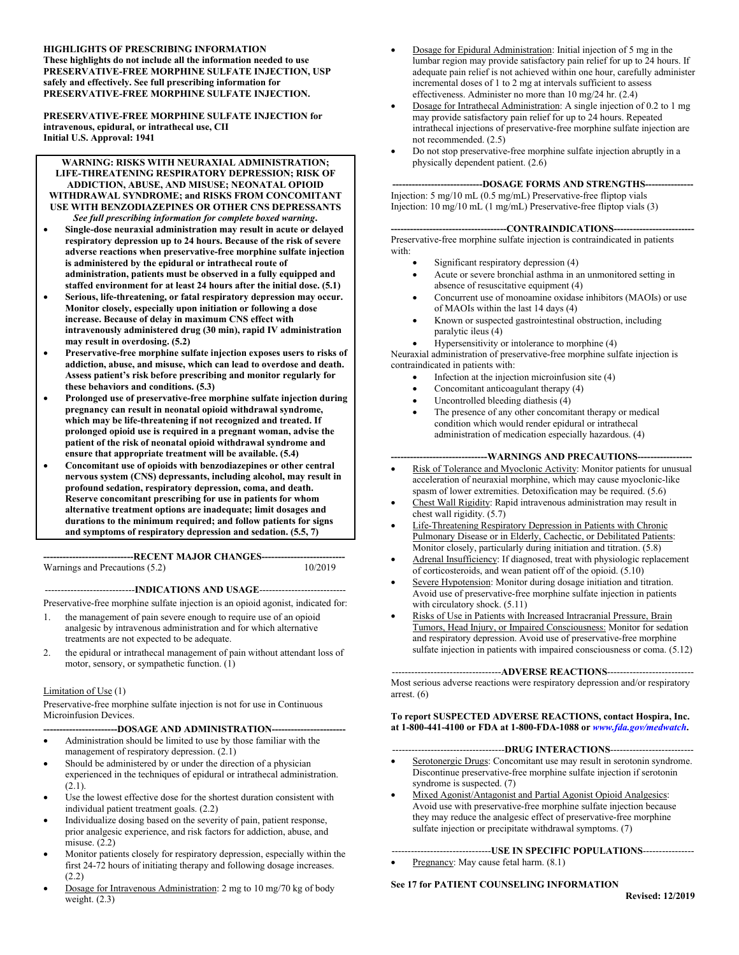**HIGHLIGHTS OF PRESCRIBING INFORMATION These highlights do not include all the information needed to use PRESERVATIVE-FREE MORPHINE SULFATE INJECTION, USP safely and effectively. See full prescribing information for PRESERVATIVE-FREE MORPHINE SULFATE INJECTION.**

**PRESERVATIVE-FREE MORPHINE SULFATE INJECTION for intravenous, epidural, or intrathecal use, CII Initial U.S. Approval: 1941**

**WARNING: RISKS WITH NEURAXIAL ADMINISTRATION; LIFE-THREATENING RESPIRATORY DEPRESSION; RISK OF ADDICTION, ABUSE, AND MISUSE; NEONATAL OPIOID WITHDRAWAL SYNDROME; and RISKS FROM CONCOMITANT USE WITH BENZODIAZEPINES OR OTHER CNS DEPRESSANTS**

- *See full prescribing information for complete boxed warning***. Single-dose neuraxial administration may result in acute or delayed respiratory depression up to 24 hours. Because of the risk of severe adverse reactions when preservative-free morphine sulfate injection is administered by the epidural or intrathecal route of administration, patients must be observed in a fully equipped and staffed environment for at least 24 hours after the initial dose. (5.1)**
- **Serious, life-threatening, or fatal respiratory depression may occur. Monitor closely, especially upon initiation or following a dose increase. Because of delay in maximum CNS effect with intravenously administered drug (30 min), rapid IV administration may result in overdosing. (5.2)**
- **Preservative-free morphine sulfate injection exposes users to risks of addiction, abuse, and misuse, which can lead to overdose and death. Assess patient's risk before prescribing and monitor regularly for these behaviors and conditions. (5.3)**
- **Prolonged use of preservative-free morphine sulfate injection during pregnancy can result in neonatal opioid withdrawal syndrome, which may be life-threatening if not recognized and treated. If prolonged opioid use is required in a pregnant woman, advise the patient of the risk of neonatal opioid withdrawal syndrome and ensure that appropriate treatment will be available. (5.4)**
- **Concomitant use of opioids with benzodiazepines or other central nervous system (CNS) depressants, including alcohol, may result in profound sedation, respiratory depression, coma, and death. Reserve concomitant prescribing for use in patients for whom alternative treatment options are inadequate; limit dosages and durations to the minimum required; and follow patients for signs and symptoms of respiratory depression and sedation. (5.5, 7)**

**----------------------------RECENT MAJOR CHANGES--------------------------** Warnings and Precautions (5.2)

----------------------------**INDICATIONS AND USAGE**---------------------------

- Preservative-free morphine sulfate injection is an opioid agonist, indicated for: 1. the management of pain severe enough to require use of an opioid analgesic by intravenous administration and for which alternative treatments are not expected to be adequate.
- 2. the epidural or intrathecal management of pain without attendant loss of motor, sensory, or sympathetic function. (1)

#### Limitation of Use (1)

Preservative-free morphine sulfate injection is not for use in Continuous Microinfusion Devices.

#### -DOSAGE AND ADMINISTRATION---

- Administration should be limited to use by those familiar with the management of respiratory depression. (2.1)
- Should be administered by or under the direction of a physician experienced in the techniques of epidural or intrathecal administration. (2.1).
- Use the lowest effective dose for the shortest duration consistent with individual patient treatment goals. (2.2)
- Individualize dosing based on the severity of pain, patient response, prior analgesic experience, and risk factors for addiction, abuse, and misuse. (2.2)
- Monitor patients closely for respiratory depression, especially within the first 24-72 hours of initiating therapy and following dosage increases. (2.2)
- Dosage for Intravenous Administration: 2 mg to 10 mg/70 kg of body weight. (2.3)
- Dosage for Epidural Administration: Initial injection of 5 mg in the lumbar region may provide satisfactory pain relief for up to 24 hours. If adequate pain relief is not achieved within one hour, carefully administer incremental doses of 1 to 2 mg at intervals sufficient to assess effectiveness. Administer no more than 10 mg/24 hr. (2.4)
- Dosage for Intrathecal Administration: A single injection of 0.2 to 1 mg may provide satisfactory pain relief for up to 24 hours. Repeated intrathecal injections of preservative-free morphine sulfate injection are not recommended. (2.5)
- Do not stop preservative-free morphine sulfate injection abruptly in a physically dependent patient. (2.6)

#### **-DOSAGE FORMS AND STRENGTHS--**

Injection: 5 mg/10 mL (0.5 mg/mL) Preservative-free fliptop vials Injection: 10 mg/10 mL (1 mg/mL) Preservative-free fliptop vials (3)

#### --CONTRAINDICATIONS--

Preservative-free morphine sulfate injection is contraindicated in patients with:

- Significant respiratory depression (4)
- Acute or severe bronchial asthma in an unmonitored setting in absence of resuscitative equipment (4)
- Concurrent use of monoamine oxidase inhibitors (MAOIs) or use of MAOIs within the last 14 days (4)
- Known or suspected gastrointestinal obstruction, including paralytic ileus (4)
- Hypersensitivity or intolerance to morphine (4)

Neuraxial administration of preservative-free morphine sulfate injection is contraindicated in patients with:

- Infection at the injection microinfusion site (4)
- Concomitant anticoagulant therapy (4)
- Uncontrolled bleeding diathesis (4)
- The presence of any other concomitant therapy or medical condition which would render epidural or intrathecal administration of medication especially hazardous. (4)

#### --WARNINGS AND PRECAUTIONS--

- Risk of Tolerance and Myoclonic Activity: Monitor patients for unusual acceleration of neuraxial morphine, which may cause myoclonic-like spasm of lower extremities. Detoxification may be required. (5.6)
- Chest Wall Rigidity: Rapid intravenous administration may result in chest wall rigidity. (5.7)
- Life-Threatening Respiratory Depression in Patients with Chronic Pulmonary Disease or in Elderly, Cachectic, or Debilitated Patients: Monitor closely, particularly during initiation and titration. (5.8)
- Adrenal Insufficiency: If diagnosed, treat with physiologic replacement of corticosteroids, and wean patient off of the opioid. (5.10)
- Severe Hypotension: Monitor during dosage initiation and titration. Avoid use of preservative-free morphine sulfate injection in patients with circulatory shock. (5.11)
- Risks of Use in Patients with Increased Intracranial Pressure, Brain Tumors, Head Injury, or Impaired Consciousness: Monitor for sedation and respiratory depression. Avoid use of preservative-free morphine sulfate injection in patients with impaired consciousness or coma. (5.12)

#### ----------------------------------**ADVERSE REACTIONS**---------------------------

Most serious adverse reactions were respiratory depression and/or respiratory arrest. (6)

#### **To report SUSPECTED ADVERSE REACTIONS, contact Hospira, Inc. at 1-800-441-4100 or FDA at 1-800-FDA-1088 or** *[www.fda.gov/medwatch](http://www.fda.gov/medwatch)***.**

| ------------------------------DRUG INTERACTIONS-------------------------- |
|---------------------------------------------------------------------------|
|                                                                           |

- Serotonergic Drugs: Concomitant use may result in serotonin syndrome. Discontinue preservative-free morphine sulfate injection if serotonin syndrome is suspected. (7)
- Mixed Agonist/Antagonist and Partial Agonist Opioid Analgesics: Avoid use with preservative-free morphine sulfate injection because they may reduce the analgesic effect of preservative-free morphine sulfate injection or precipitate withdrawal symptoms. (7)

#### -------------------------------**USE IN SPECIFIC POPULATIONS**----------------

Pregnancy: May cause fetal harm.  $(8.1)$ 

#### **See 17 for PATIENT COUNSELING INFORMATION**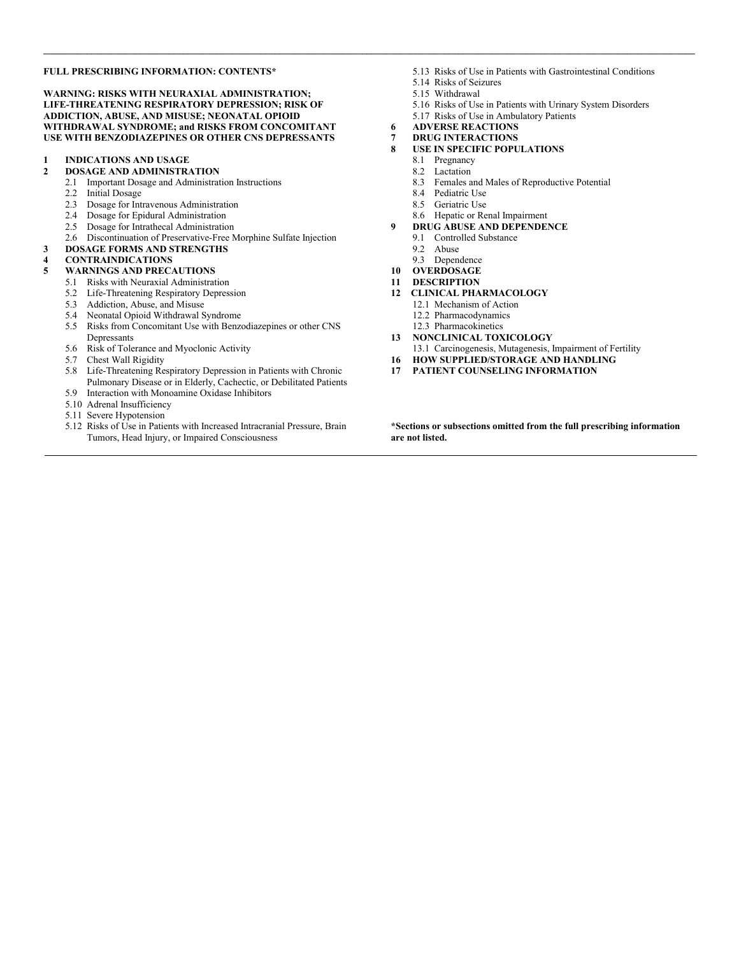#### **FULL PRESCRIBING INFORMATION: CONTENTS\***

**WARNING: RISKS WITH NEURAXIAL ADMINISTRATION; LIFE-THREATENING RESPIRATORY DEPRESSION; RISK OF ADDICTION, ABUSE, AND MISUSE; NEONATAL OPIOID WITHDRAWAL SYNDROME; and RISKS FROM CONCOMITANT USE WITH BENZODIAZEPINES OR OTHER CNS DEPRESSANTS**

#### **1 INDICATIONS AND USAGE**

- **2 DOSAGE AND ADMINISTRATION**
	- 2.1 Important Dosage and Administration Instructions
	- 2.2 Initial Dosage
	- 2.3 Dosage for Intravenous Administration
	- 2.4 Dosage for Epidural Administration<br>2.5 Dosage for Intrathecal Administration
	- 2.5 Dosage for Intrathecal Administration
	- 2.6 Discontinuation of Preservative-Free Morphine Sulfate Injection
- **3 DOSAGE FORMS AND STRENGTHS**

## **4 CONTRAINDICATIONS**

- **5 WARNINGS AND PRECAUTIONS**
- 5.1 Risks with Neuraxial Administration
- 5.2 Life-Threatening Respiratory Depression
- 5.3 Addiction, Abuse, and Misuse
- 5.4 Neonatal Opioid Withdrawal Syndrome
- 5.5 Risks from Concomitant Use with Benzodiazepines or other CNS Depressants
- 5.6 Risk of Tolerance and Myoclonic Activity
- 5.7 Chest Wall Rigidity
- 5.8 Life-Threatening Respiratory Depression in Patients with Chronic Pulmonary Disease or in Elderly, Cachectic, or Debilitated Patients
- 5.9 Interaction with Monoamine Oxidase Inhibitors
- 5.10 Adrenal Insufficiency
- 5.11 Severe Hypotension
- 5.12 Risks of Use in Patients with Increased Intracranial Pressure, Brain Tumors, Head Injury, or Impaired Consciousness
- 5.13 Risks of Use in Patients with Gastrointestinal Conditions
- 5.14 Risks of Seizures
- 5.15 Withdrawal

**\_\_\_\_\_\_\_\_\_\_\_\_\_\_\_\_\_\_\_\_\_\_\_\_\_\_\_\_\_\_\_\_\_\_\_\_\_\_\_\_\_\_\_\_\_\_\_\_\_\_\_\_\_\_\_\_\_\_\_\_\_\_\_\_\_\_\_\_\_\_\_\_\_\_\_\_\_\_\_\_\_\_\_\_\_\_\_\_\_\_\_\_\_\_\_\_\_\_\_\_\_\_\_\_\_\_\_\_\_\_\_\_\_\_\_\_\_\_\_\_\_\_\_\_\_\_\_\_\_\_\_\_\_\_\_**

- 5.16 Risks of Use in Patients with Urinary System Disorders
- 5.17 Risks of Use in Ambulatory Patients
- **6 ADVERSE REACTIONS**
- **7 DRUG INTERACTIONS**
- **8 USE IN SPECIFIC POPULATIONS**
	- 8.1 Pregnancy
	- 8.2 Lactation<br>8.3 Females a
	- Females and Males of Reproductive Potential
	- 8.4 Pediatric Use
	- 8.5 Geriatric Use
	- 8.6 Hepatic or Renal Impairment
- **9 DRUG ABUSE AND DEPENDENCE**
	- 9.1 Controlled Substance
	- 9.2 Abuse
	- 9.3 Dependence
- **10 OVERDOSAGE**
- **11 DESCRIPTION**
- **12 CLINICAL PHARMACOLOGY**
	- 12.1 Mechanism of Action
	- 12.2 Pharmacodynamics
	- 12.3 Pharmacokinetics
- **13 NONCLINICAL TOXICOLOGY**
- 13.1 Carcinogenesis, Mutagenesis, Impairment of Fertility
- **16 HOW SUPPLIED/STORAGE AND HANDLING**
- **17 PATIENT COUNSELING INFORMATION**

**\*Sections or subsections omitted from the full prescribing information are not listed.**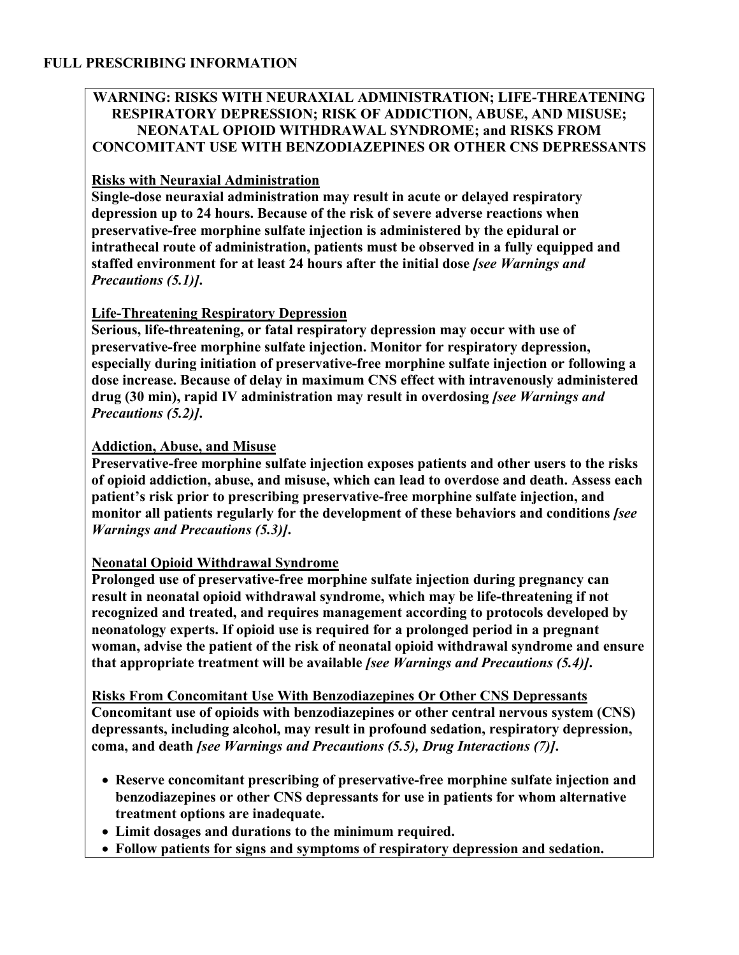### **FULL PRESCRIBING INFORMATION**

#### **WARNING: RISKS WITH NEURAXIAL ADMINISTRATION; LIFE-THREATENING RESPIRATORY DEPRESSION; RISK OF ADDICTION, ABUSE, AND MISUSE; NEONATAL OPIOID WITHDRAWAL SYNDROME; and RISKS FROM CONCOMITANT USE WITH BENZODIAZEPINES OR OTHER CNS DEPRESSANTS**

#### **Risks with Neuraxial Administration**

**Single-dose neuraxial administration may result in acute or delayed respiratory depression up to 24 hours. Because of the risk of severe adverse reactions when preservative-free morphine sulfate injection is administered by the epidural or intrathecal route of administration, patients must be observed in a fully equipped and staffed environment for at least 24 hours after the initial dose** *[see Warnings and Precautions (5.1)]***.**

#### **Life-Threatening Respiratory Depression**

**Serious, life-threatening, or fatal respiratory depression may occur with use of preservative-free morphine sulfate injection. Monitor for respiratory depression, especially during initiation of preservative-free morphine sulfate injection or following a dose increase. Because of delay in maximum CNS effect with intravenously administered drug (30 min), rapid IV administration may result in overdosing** *[see Warnings and Precautions (5.2)]***.**

#### **Addiction, Abuse, and Misuse**

**Preservative-free morphine sulfate injection exposes patients and other users to the risks of opioid addiction, abuse, and misuse, which can lead to overdose and death. Assess each patient's risk prior to prescribing preservative-free morphine sulfate injection, and monitor all patients regularly for the development of these behaviors and conditions** *[see Warnings and Precautions (5.3)]***.**

#### **Neonatal Opioid Withdrawal Syndrome**

**Prolonged use of preservative-free morphine sulfate injection during pregnancy can result in neonatal opioid withdrawal syndrome, which may be life-threatening if not recognized and treated, and requires management according to protocols developed by neonatology experts. If opioid use is required for a prolonged period in a pregnant woman, advise the patient of the risk of neonatal opioid withdrawal syndrome and ensure that appropriate treatment will be available** *[see Warnings and Precautions (5.4)]***.**

**Risks From Concomitant Use With Benzodiazepines Or Other CNS Depressants Concomitant use of opioids with benzodiazepines or other central nervous system (CNS) depressants, including alcohol, may result in profound sedation, respiratory depression, coma, and death** *[see Warnings and Precautions (5.5), Drug Interactions (7)]***.**

- **Reserve concomitant prescribing of preservative-free morphine sulfate injection and benzodiazepines or other CNS depressants for use in patients for whom alternative treatment options are inadequate.**
- **Limit dosages and durations to the minimum required.**
- **Follow patients for signs and symptoms of respiratory depression and sedation.**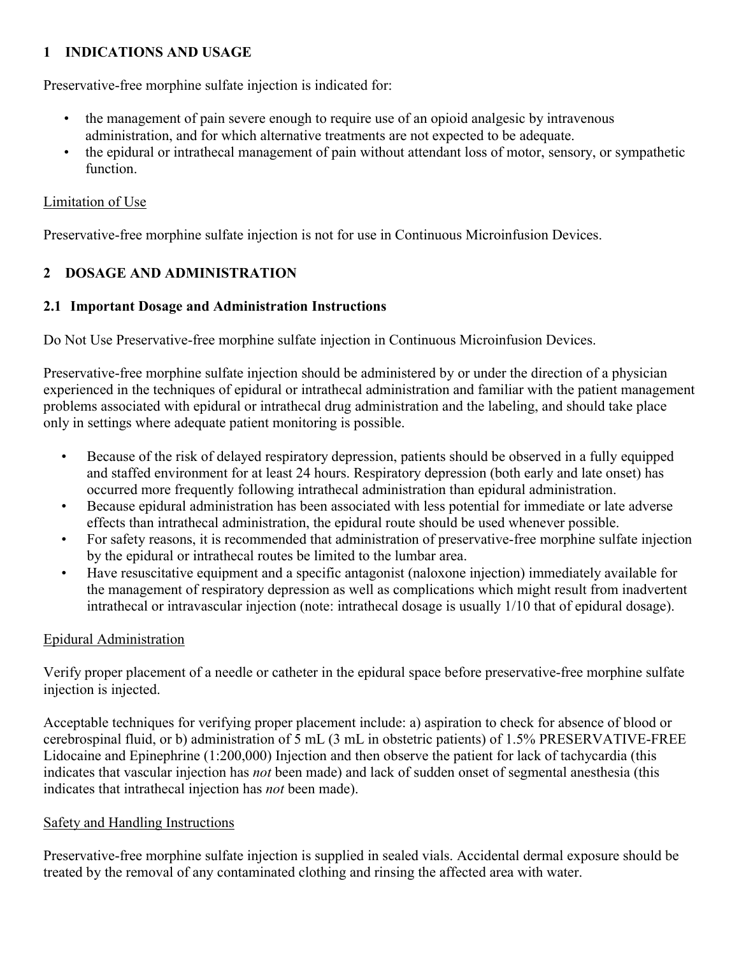## **1 INDICATIONS AND USAGE**

Preservative-free morphine sulfate injection is indicated for:

- the management of pain severe enough to require use of an opioid analgesic by intravenous administration, and for which alternative treatments are not expected to be adequate.
- the epidural or intrathecal management of pain without attendant loss of motor, sensory, or sympathetic function.

#### Limitation of Use

Preservative-free morphine sulfate injection is not for use in Continuous Microinfusion Devices.

## **2 DOSAGE AND ADMINISTRATION**

## **2.1 Important Dosage and Administration Instructions**

Do Not Use Preservative-free morphine sulfate injection in Continuous Microinfusion Devices.

Preservative-free morphine sulfate injection should be administered by or under the direction of a physician experienced in the techniques of epidural or intrathecal administration and familiar with the patient management problems associated with epidural or intrathecal drug administration and the labeling, and should take place only in settings where adequate patient monitoring is possible.

- Because of the risk of delayed respiratory depression, patients should be observed in a fully equipped and staffed environment for at least 24 hours. Respiratory depression (both early and late onset) has occurred more frequently following intrathecal administration than epidural administration.
- Because epidural administration has been associated with less potential for immediate or late adverse effects than intrathecal administration, the epidural route should be used whenever possible.
- For safety reasons, it is recommended that administration of preservative-free morphine sulfate injection by the epidural or intrathecal routes be limited to the lumbar area.
- Have resuscitative equipment and a specific antagonist (naloxone injection) immediately available for the management of respiratory depression as well as complications which might result from inadvertent intrathecal or intravascular injection (note: intrathecal dosage is usually 1/10 that of epidural dosage).

## Epidural Administration

Verify proper placement of a needle or catheter in the epidural space before preservative-free morphine sulfate injection is injected.

Acceptable techniques for verifying proper placement include: a) aspiration to check for absence of blood or cerebrospinal fluid, or b) administration of 5 mL (3 mL in obstetric patients) of 1.5% PRESERVATIVE-FREE Lidocaine and Epinephrine (1:200,000) Injection and then observe the patient for lack of tachycardia (this indicates that vascular injection has *not* been made) and lack of sudden onset of segmental anesthesia (this indicates that intrathecal injection has *not* been made).

#### Safety and Handling Instructions

Preservative-free morphine sulfate injection is supplied in sealed vials. Accidental dermal exposure should be treated by the removal of any contaminated clothing and rinsing the affected area with water.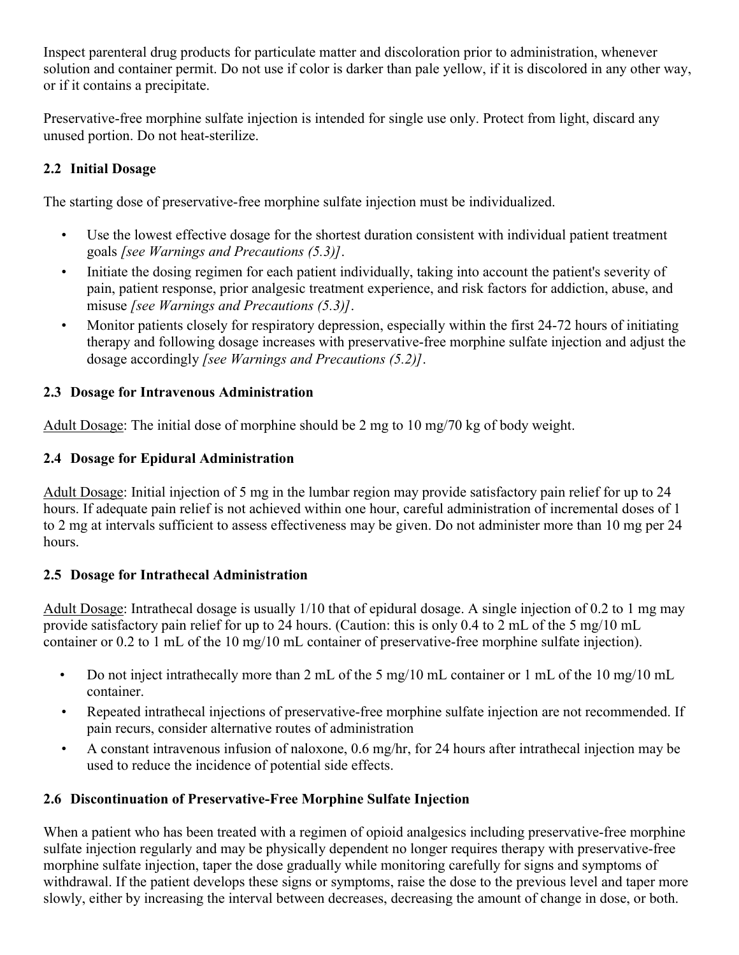Inspect parenteral drug products for particulate matter and discoloration prior to administration, whenever solution and container permit. Do not use if color is darker than pale yellow, if it is discolored in any other way, or if it contains a precipitate.

Preservative-free morphine sulfate injection is intended for single use only. Protect from light, discard any unused portion. Do not heat-sterilize.

## **2.2 Initial Dosage**

The starting dose of preservative-free morphine sulfate injection must be individualized.

- Use the lowest effective dosage for the shortest duration consistent with individual patient treatment goals *[see Warnings and Precautions (5.3)]*.
- Initiate the dosing regimen for each patient individually, taking into account the patient's severity of pain, patient response, prior analgesic treatment experience, and risk factors for addiction, abuse, and misuse *[see Warnings and Precautions (5.3)]*.
- Monitor patients closely for respiratory depression, especially within the first 24-72 hours of initiating therapy and following dosage increases with preservative-free morphine sulfate injection and adjust the dosage accordingly *[see Warnings and Precautions (5.2)]*.

## **2.3 Dosage for Intravenous Administration**

Adult Dosage: The initial dose of morphine should be 2 mg to 10 mg/70 kg of body weight.

## **2.4 Dosage for Epidural Administration**

Adult Dosage: Initial injection of 5 mg in the lumbar region may provide satisfactory pain relief for up to 24 hours. If adequate pain relief is not achieved within one hour, careful administration of incremental doses of 1 to 2 mg at intervals sufficient to assess effectiveness may be given. Do not administer more than 10 mg per 24 hours.

#### **2.5 Dosage for Intrathecal Administration**

Adult Dosage: Intrathecal dosage is usually 1/10 that of epidural dosage. A single injection of 0.2 to 1 mg may provide satisfactory pain relief for up to 24 hours. (Caution: this is only 0.4 to 2 mL of the 5 mg/10 mL container or 0.2 to 1 mL of the 10 mg/10 mL container of preservative-free morphine sulfate injection).

- Do not inject intrathecally more than 2 mL of the 5 mg/10 mL container or 1 mL of the 10 mg/10 mL container.
- Repeated intrathecal injections of preservative-free morphine sulfate injection are not recommended. If pain recurs, consider alternative routes of administration
- A constant intravenous infusion of naloxone, 0.6 mg/hr, for 24 hours after intrathecal injection may be used to reduce the incidence of potential side effects.

## **2.6 Discontinuation of Preservative-Free Morphine Sulfate Injection**

When a patient who has been treated with a regimen of opioid analgesics including preservative-free morphine sulfate injection regularly and may be physically dependent no longer requires therapy with preservative-free morphine sulfate injection, taper the dose gradually while monitoring carefully for signs and symptoms of withdrawal. If the patient develops these signs or symptoms, raise the dose to the previous level and taper more slowly, either by increasing the interval between decreases, decreasing the amount of change in dose, or both.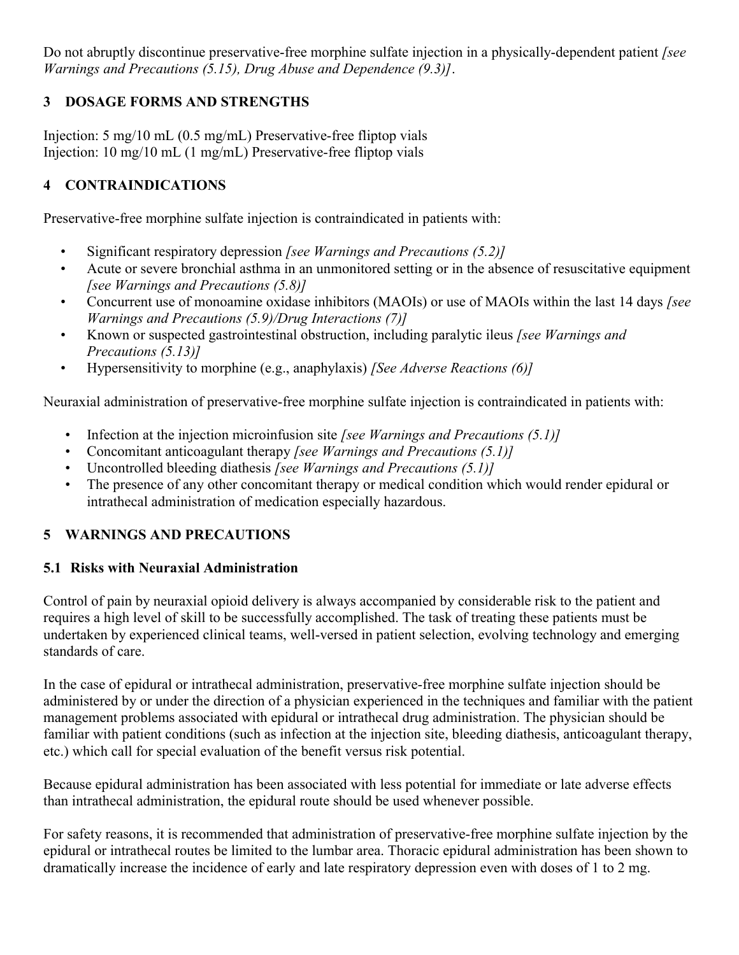Do not abruptly discontinue preservative-free morphine sulfate injection in a physically-dependent patient *[see Warnings and Precautions (5.15), Drug Abuse and Dependence (9.3)]*.

## **3 DOSAGE FORMS AND STRENGTHS**

Injection: 5 mg/10 mL (0.5 mg/mL) Preservative-free fliptop vials Injection: 10 mg/10 mL (1 mg/mL) Preservative-free fliptop vials

## **4 CONTRAINDICATIONS**

Preservative-free morphine sulfate injection is contraindicated in patients with:

- Significant respiratory depression *[see Warnings and Precautions (5.2)]*
- Acute or severe bronchial asthma in an unmonitored setting or in the absence of resuscitative equipment *[see Warnings and Precautions (5.8)]*
- Concurrent use of monoamine oxidase inhibitors (MAOIs) or use of MAOIs within the last 14 days *[see Warnings and Precautions (5.9)/Drug Interactions (7)]*
- Known or suspected gastrointestinal obstruction, including paralytic ileus *[see Warnings and Precautions (5.13)]*
- Hypersensitivity to morphine (e.g., anaphylaxis) *[See Adverse Reactions (6)]*

Neuraxial administration of preservative-free morphine sulfate injection is contraindicated in patients with:

- Infection at the injection microinfusion site *[see Warnings and Precautions (5.1)]*
- Concomitant anticoagulant therapy *[see Warnings and Precautions (5.1)]*
- Uncontrolled bleeding diathesis *[see Warnings and Precautions (5.1)]*
- The presence of any other concomitant therapy or medical condition which would render epidural or intrathecal administration of medication especially hazardous.

# **5 WARNINGS AND PRECAUTIONS**

## **5.1 Risks with Neuraxial Administration**

Control of pain by neuraxial opioid delivery is always accompanied by considerable risk to the patient and requires a high level of skill to be successfully accomplished. The task of treating these patients must be undertaken by experienced clinical teams, well-versed in patient selection, evolving technology and emerging standards of care.

In the case of epidural or intrathecal administration, preservative-free morphine sulfate injection should be administered by or under the direction of a physician experienced in the techniques and familiar with the patient management problems associated with epidural or intrathecal drug administration. The physician should be familiar with patient conditions (such as infection at the injection site, bleeding diathesis, anticoagulant therapy, etc.) which call for special evaluation of the benefit versus risk potential.

Because epidural administration has been associated with less potential for immediate or late adverse effects than intrathecal administration, the epidural route should be used whenever possible.

For safety reasons, it is recommended that administration of preservative-free morphine sulfate injection by the epidural or intrathecal routes be limited to the lumbar area. Thoracic epidural administration has been shown to dramatically increase the incidence of early and late respiratory depression even with doses of 1 to 2 mg.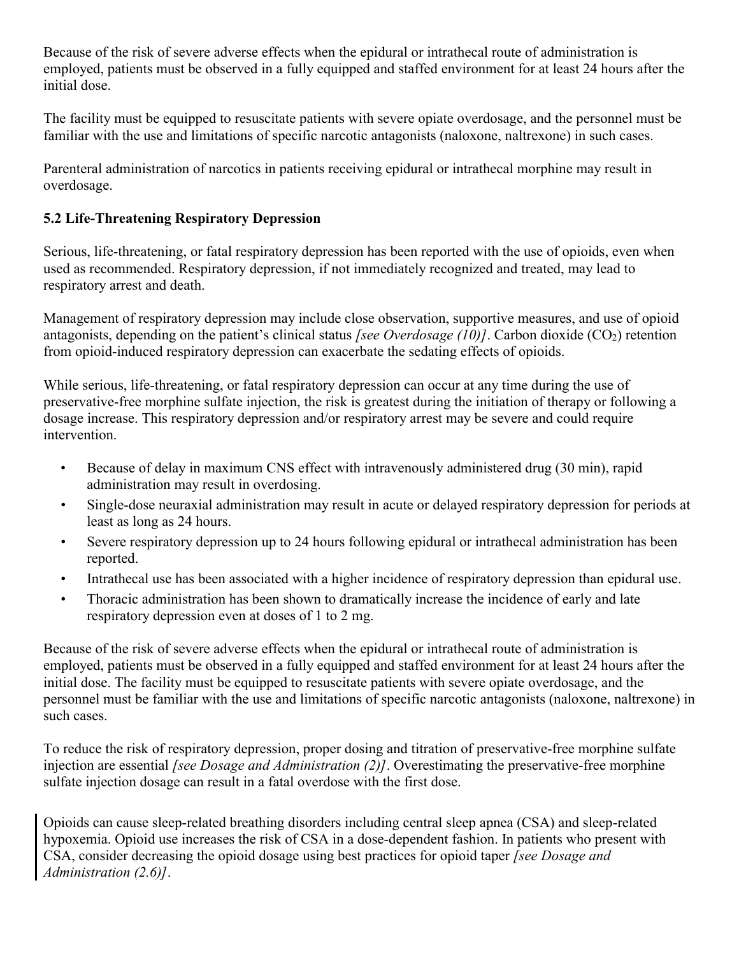Because of the risk of severe adverse effects when the epidural or intrathecal route of administration is employed, patients must be observed in a fully equipped and staffed environment for at least 24 hours after the initial dose.

The facility must be equipped to resuscitate patients with severe opiate overdosage, and the personnel must be familiar with the use and limitations of specific narcotic antagonists (naloxone, naltrexone) in such cases.

Parenteral administration of narcotics in patients receiving epidural or intrathecal morphine may result in overdosage.

## **5.2 Life-Threatening Respiratory Depression**

Serious, life-threatening, or fatal respiratory depression has been reported with the use of opioids, even when used as recommended. Respiratory depression, if not immediately recognized and treated, may lead to respiratory arrest and death.

Management of respiratory depression may include close observation, supportive measures, and use of opioid antagonists, depending on the patient's clinical status *[see Overdosage (10)]*. Carbon dioxide (CO<sub>2</sub>) retention from opioid-induced respiratory depression can exacerbate the sedating effects of opioids.

While serious, life-threatening, or fatal respiratory depression can occur at any time during the use of preservative-free morphine sulfate injection, the risk is greatest during the initiation of therapy or following a dosage increase. This respiratory depression and/or respiratory arrest may be severe and could require intervention.

- Because of delay in maximum CNS effect with intravenously administered drug (30 min), rapid administration may result in overdosing.
- Single-dose neuraxial administration may result in acute or delayed respiratory depression for periods at least as long as 24 hours.
- Severe respiratory depression up to 24 hours following epidural or intrathecal administration has been reported.
- Intrathecal use has been associated with a higher incidence of respiratory depression than epidural use.
- Thoracic administration has been shown to dramatically increase the incidence of early and late respiratory depression even at doses of 1 to 2 mg.

Because of the risk of severe adverse effects when the epidural or intrathecal route of administration is employed, patients must be observed in a fully equipped and staffed environment for at least 24 hours after the initial dose. The facility must be equipped to resuscitate patients with severe opiate overdosage, and the personnel must be familiar with the use and limitations of specific narcotic antagonists (naloxone, naltrexone) in such cases.

To reduce the risk of respiratory depression, proper dosing and titration of preservative-free morphine sulfate injection are essential *[see Dosage and Administration (2)]*. Overestimating the preservative-free morphine sulfate injection dosage can result in a fatal overdose with the first dose.

Opioids can cause sleep-related breathing disorders including central sleep apnea (CSA) and sleep-related hypoxemia. Opioid use increases the risk of CSA in a dose-dependent fashion. In patients who present with CSA, consider decreasing the opioid dosage using best practices for opioid taper *[see Dosage and Administration (2.6)]*.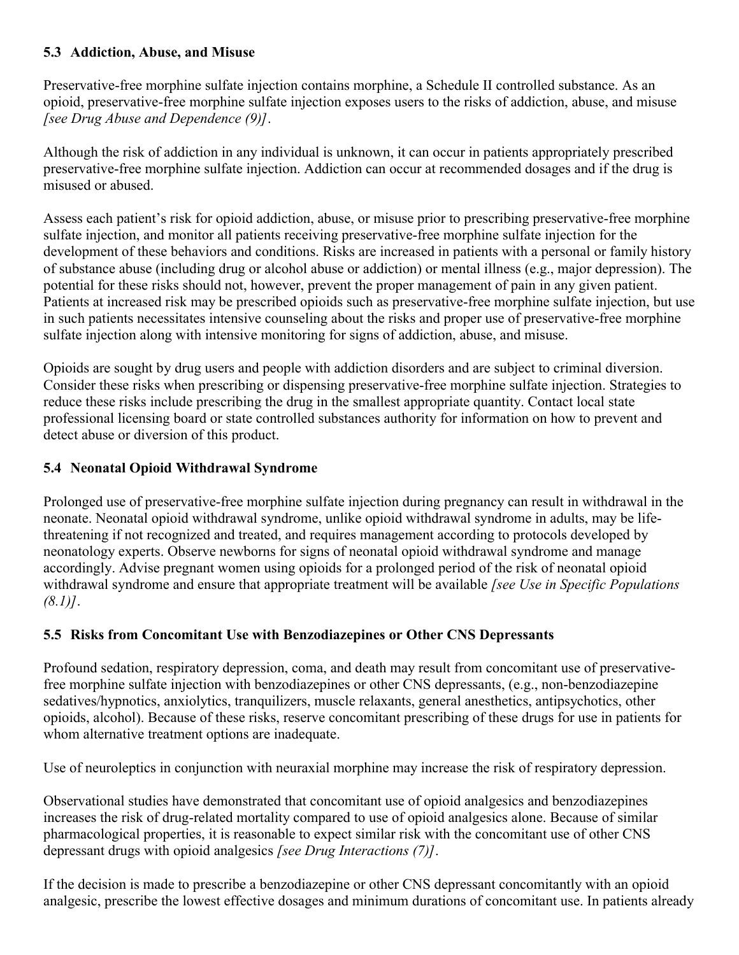## **5.3 Addiction, Abuse, and Misuse**

Preservative-free morphine sulfate injection contains morphine, a Schedule II controlled substance. As an opioid, preservative-free morphine sulfate injection exposes users to the risks of addiction, abuse, and misuse *[see Drug Abuse and Dependence (9)]*.

Although the risk of addiction in any individual is unknown, it can occur in patients appropriately prescribed preservative-free morphine sulfate injection. Addiction can occur at recommended dosages and if the drug is misused or abused.

Assess each patient's risk for opioid addiction, abuse, or misuse prior to prescribing preservative-free morphine sulfate injection, and monitor all patients receiving preservative-free morphine sulfate injection for the development of these behaviors and conditions. Risks are increased in patients with a personal or family history of substance abuse (including drug or alcohol abuse or addiction) or mental illness (e.g., major depression). The potential for these risks should not, however, prevent the proper management of pain in any given patient. Patients at increased risk may be prescribed opioids such as preservative-free morphine sulfate injection, but use in such patients necessitates intensive counseling about the risks and proper use of preservative-free morphine sulfate injection along with intensive monitoring for signs of addiction, abuse, and misuse.

Opioids are sought by drug users and people with addiction disorders and are subject to criminal diversion. Consider these risks when prescribing or dispensing preservative-free morphine sulfate injection. Strategies to reduce these risks include prescribing the drug in the smallest appropriate quantity. Contact local state professional licensing board or state controlled substances authority for information on how to prevent and detect abuse or diversion of this product.

## **5.4 Neonatal Opioid Withdrawal Syndrome**

Prolonged use of preservative-free morphine sulfate injection during pregnancy can result in withdrawal in the neonate. Neonatal opioid withdrawal syndrome, unlike opioid withdrawal syndrome in adults, may be lifethreatening if not recognized and treated, and requires management according to protocols developed by neonatology experts. Observe newborns for signs of neonatal opioid withdrawal syndrome and manage accordingly. Advise pregnant women using opioids for a prolonged period of the risk of neonatal opioid withdrawal syndrome and ensure that appropriate treatment will be available *[see Use in Specific Populations (8.1)]*.

#### **5.5 Risks from Concomitant Use with Benzodiazepines or Other CNS Depressants**

Profound sedation, respiratory depression, coma, and death may result from concomitant use of preservativefree morphine sulfate injection with benzodiazepines or other CNS depressants, (e.g., non-benzodiazepine sedatives/hypnotics, anxiolytics, tranquilizers, muscle relaxants, general anesthetics, antipsychotics, other opioids, alcohol). Because of these risks, reserve concomitant prescribing of these drugs for use in patients for whom alternative treatment options are inadequate.

Use of neuroleptics in conjunction with neuraxial morphine may increase the risk of respiratory depression.

Observational studies have demonstrated that concomitant use of opioid analgesics and benzodiazepines increases the risk of drug-related mortality compared to use of opioid analgesics alone. Because of similar pharmacological properties, it is reasonable to expect similar risk with the concomitant use of other CNS depressant drugs with opioid analgesics *[see Drug Interactions (7)]*.

If the decision is made to prescribe a benzodiazepine or other CNS depressant concomitantly with an opioid analgesic, prescribe the lowest effective dosages and minimum durations of concomitant use. In patients already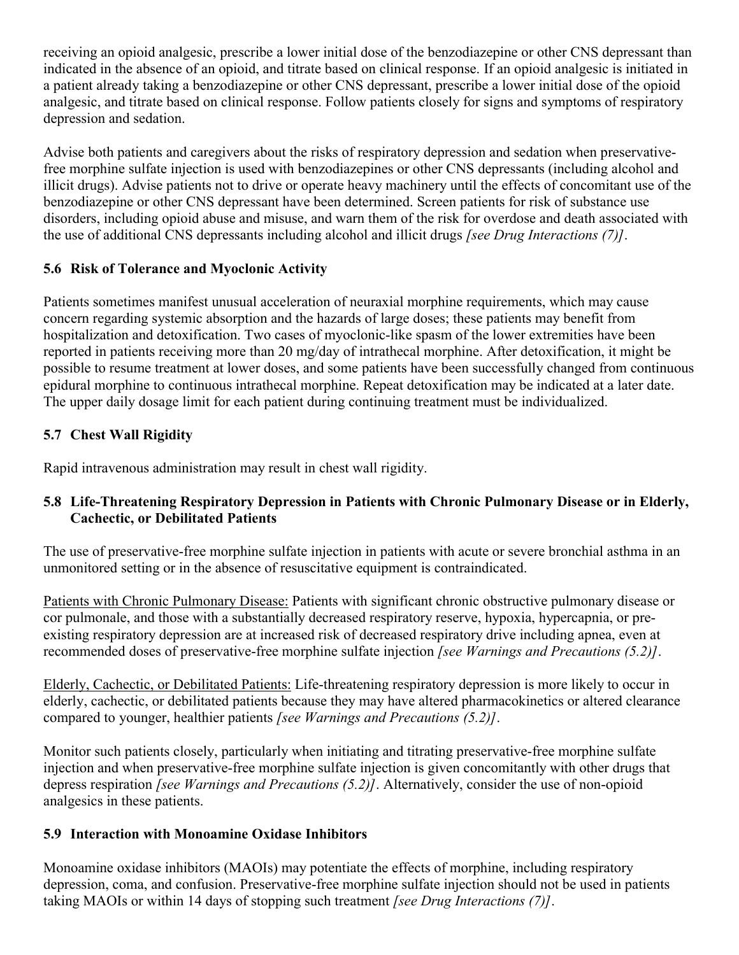receiving an opioid analgesic, prescribe a lower initial dose of the benzodiazepine or other CNS depressant than indicated in the absence of an opioid, and titrate based on clinical response. If an opioid analgesic is initiated in a patient already taking a benzodiazepine or other CNS depressant, prescribe a lower initial dose of the opioid analgesic, and titrate based on clinical response. Follow patients closely for signs and symptoms of respiratory depression and sedation.

Advise both patients and caregivers about the risks of respiratory depression and sedation when preservativefree morphine sulfate injection is used with benzodiazepines or other CNS depressants (including alcohol and illicit drugs). Advise patients not to drive or operate heavy machinery until the effects of concomitant use of the benzodiazepine or other CNS depressant have been determined. Screen patients for risk of substance use disorders, including opioid abuse and misuse, and warn them of the risk for overdose and death associated with the use of additional CNS depressants including alcohol and illicit drugs *[see Drug Interactions (7)]*.

## **5.6 Risk of Tolerance and Myoclonic Activity**

Patients sometimes manifest unusual acceleration of neuraxial morphine requirements, which may cause concern regarding systemic absorption and the hazards of large doses; these patients may benefit from hospitalization and detoxification. Two cases of myoclonic-like spasm of the lower extremities have been reported in patients receiving more than 20 mg/day of intrathecal morphine. After detoxification, it might be possible to resume treatment at lower doses, and some patients have been successfully changed from continuous epidural morphine to continuous intrathecal morphine. Repeat detoxification may be indicated at a later date. The upper daily dosage limit for each patient during continuing treatment must be individualized.

## **5.7 Chest Wall Rigidity**

Rapid intravenous administration may result in chest wall rigidity.

#### **5.8 Life-Threatening Respiratory Depression in Patients with Chronic Pulmonary Disease or in Elderly, Cachectic, or Debilitated Patients**

The use of preservative-free morphine sulfate injection in patients with acute or severe bronchial asthma in an unmonitored setting or in the absence of resuscitative equipment is contraindicated.

Patients with Chronic Pulmonary Disease: Patients with significant chronic obstructive pulmonary disease or cor pulmonale, and those with a substantially decreased respiratory reserve, hypoxia, hypercapnia, or preexisting respiratory depression are at increased risk of decreased respiratory drive including apnea, even at recommended doses of preservative-free morphine sulfate injection *[see Warnings and Precautions (5.2)]*.

Elderly, Cachectic, or Debilitated Patients: Life-threatening respiratory depression is more likely to occur in elderly, cachectic, or debilitated patients because they may have altered pharmacokinetics or altered clearance compared to younger, healthier patients *[see Warnings and Precautions (5.2)]*.

Monitor such patients closely, particularly when initiating and titrating preservative-free morphine sulfate injection and when preservative-free morphine sulfate injection is given concomitantly with other drugs that depress respiration *[see Warnings and Precautions (5.2)]*. Alternatively, consider the use of non-opioid analgesics in these patients.

#### **5.9 Interaction with Monoamine Oxidase Inhibitors**

Monoamine oxidase inhibitors (MAOIs) may potentiate the effects of morphine, including respiratory depression, coma, and confusion. Preservative-free morphine sulfate injection should not be used in patients taking MAOIs or within 14 days of stopping such treatment *[see Drug Interactions (7)]*.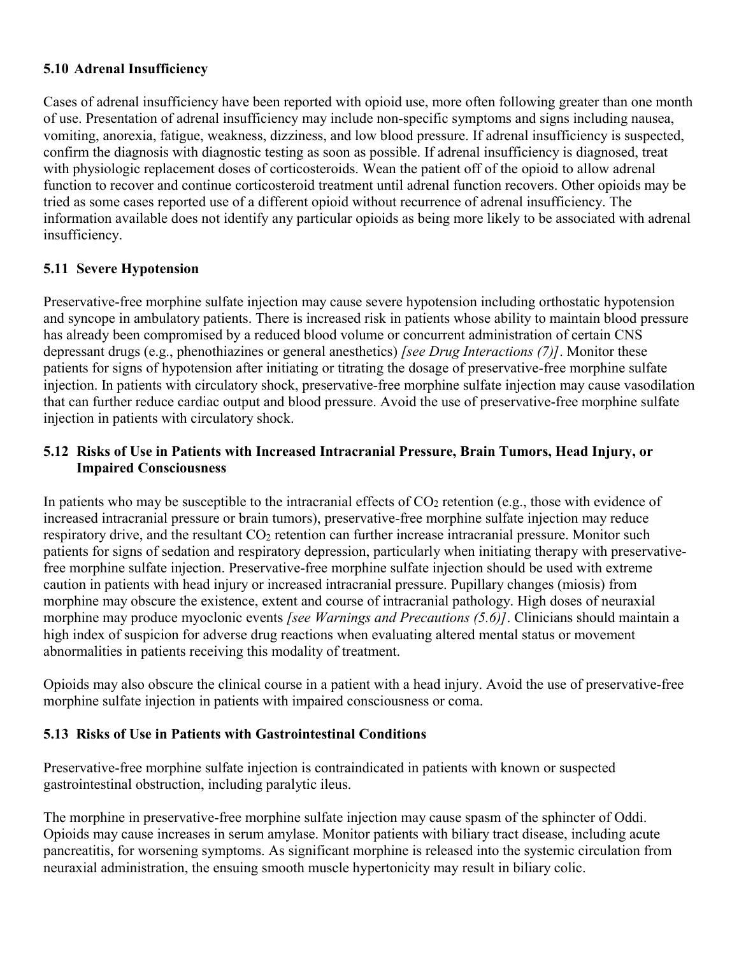#### **5.10 Adrenal Insufficiency**

Cases of adrenal insufficiency have been reported with opioid use, more often following greater than one month of use. Presentation of adrenal insufficiency may include non-specific symptoms and signs including nausea, vomiting, anorexia, fatigue, weakness, dizziness, and low blood pressure. If adrenal insufficiency is suspected, confirm the diagnosis with diagnostic testing as soon as possible. If adrenal insufficiency is diagnosed, treat with physiologic replacement doses of corticosteroids. Wean the patient off of the opioid to allow adrenal function to recover and continue corticosteroid treatment until adrenal function recovers. Other opioids may be tried as some cases reported use of a different opioid without recurrence of adrenal insufficiency. The information available does not identify any particular opioids as being more likely to be associated with adrenal insufficiency.

#### **5.11 Severe Hypotension**

Preservative-free morphine sulfate injection may cause severe hypotension including orthostatic hypotension and syncope in ambulatory patients. There is increased risk in patients whose ability to maintain blood pressure has already been compromised by a reduced blood volume or concurrent administration of certain CNS depressant drugs (e.g., phenothiazines or general anesthetics) *[see Drug Interactions (7)]*. Monitor these patients for signs of hypotension after initiating or titrating the dosage of preservative-free morphine sulfate injection. In patients with circulatory shock, preservative-free morphine sulfate injection may cause vasodilation that can further reduce cardiac output and blood pressure. Avoid the use of preservative-free morphine sulfate injection in patients with circulatory shock.

#### **5.12 Risks of Use in Patients with Increased Intracranial Pressure, Brain Tumors, Head Injury, or Impaired Consciousness**

In patients who may be susceptible to the intracranial effects of  $CO<sub>2</sub>$  retention (e.g., those with evidence of increased intracranial pressure or brain tumors), preservative-free morphine sulfate injection may reduce respiratory drive, and the resultant CO<sub>2</sub> retention can further increase intracranial pressure. Monitor such patients for signs of sedation and respiratory depression, particularly when initiating therapy with preservativefree morphine sulfate injection. Preservative-free morphine sulfate injection should be used with extreme caution in patients with head injury or increased intracranial pressure. Pupillary changes (miosis) from morphine may obscure the existence, extent and course of intracranial pathology. High doses of neuraxial morphine may produce myoclonic events *[see Warnings and Precautions (5.6)]*. Clinicians should maintain a high index of suspicion for adverse drug reactions when evaluating altered mental status or movement abnormalities in patients receiving this modality of treatment.

Opioids may also obscure the clinical course in a patient with a head injury. Avoid the use of preservative-free morphine sulfate injection in patients with impaired consciousness or coma.

#### **5.13 Risks of Use in Patients with Gastrointestinal Conditions**

Preservative-free morphine sulfate injection is contraindicated in patients with known or suspected gastrointestinal obstruction, including paralytic ileus.

The morphine in preservative-free morphine sulfate injection may cause spasm of the sphincter of Oddi. Opioids may cause increases in serum amylase. Monitor patients with biliary tract disease, including acute pancreatitis, for worsening symptoms. As significant morphine is released into the systemic circulation from neuraxial administration, the ensuing smooth muscle hypertonicity may result in biliary colic.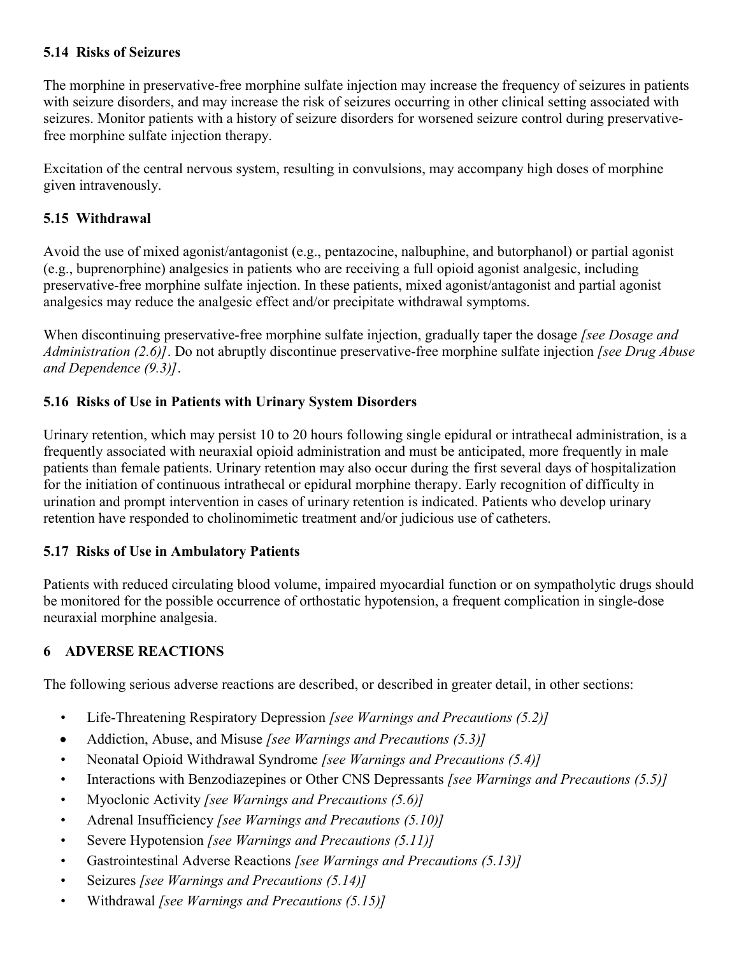## **5.14 Risks of Seizures**

The morphine in preservative-free morphine sulfate injection may increase the frequency of seizures in patients with seizure disorders, and may increase the risk of seizures occurring in other clinical setting associated with seizures. Monitor patients with a history of seizure disorders for worsened seizure control during preservativefree morphine sulfate injection therapy.

Excitation of the central nervous system, resulting in convulsions, may accompany high doses of morphine given intravenously.

## **5.15 Withdrawal**

Avoid the use of mixed agonist/antagonist (e.g., pentazocine, nalbuphine, and butorphanol) or partial agonist (e.g., buprenorphine) analgesics in patients who are receiving a full opioid agonist analgesic, including preservative-free morphine sulfate injection. In these patients, mixed agonist/antagonist and partial agonist analgesics may reduce the analgesic effect and/or precipitate withdrawal symptoms.

When discontinuing preservative-free morphine sulfate injection, gradually taper the dosage *[see Dosage and Administration (2.6)]*. Do not abruptly discontinue preservative-free morphine sulfate injection *[see Drug Abuse and Dependence (9.3)]*.

## **5.16 Risks of Use in Patients with Urinary System Disorders**

Urinary retention, which may persist 10 to 20 hours following single epidural or intrathecal administration, is a frequently associated with neuraxial opioid administration and must be anticipated, more frequently in male patients than female patients. Urinary retention may also occur during the first several days of hospitalization for the initiation of continuous intrathecal or epidural morphine therapy. Early recognition of difficulty in urination and prompt intervention in cases of urinary retention is indicated. Patients who develop urinary retention have responded to cholinomimetic treatment and/or judicious use of catheters.

## **5.17 Risks of Use in Ambulatory Patients**

Patients with reduced circulating blood volume, impaired myocardial function or on sympatholytic drugs should be monitored for the possible occurrence of orthostatic hypotension, a frequent complication in single-dose neuraxial morphine analgesia.

## **6 ADVERSE REACTIONS**

The following serious adverse reactions are described, or described in greater detail, in other sections:

- Life-Threatening Respiratory Depression *[see Warnings and Precautions (5.2)]*
- Addiction, Abuse, and Misuse *[see Warnings and Precautions (5.3)]*
- Neonatal Opioid Withdrawal Syndrome *[see Warnings and Precautions (5.4)]*
- Interactions with Benzodiazepines or Other CNS Depressants *[see Warnings and Precautions (5.5)]*
- Myoclonic Activity *[see Warnings and Precautions (5.6)]*
- Adrenal Insufficiency *[see Warnings and Precautions (5.10)]*
- Severe Hypotension *[see Warnings and Precautions (5.11)]*
- Gastrointestinal Adverse Reactions *[see Warnings and Precautions (5.13)]*
- Seizures *[see Warnings and Precautions (5.14)]*
- Withdrawal *[see Warnings and Precautions (5.15)]*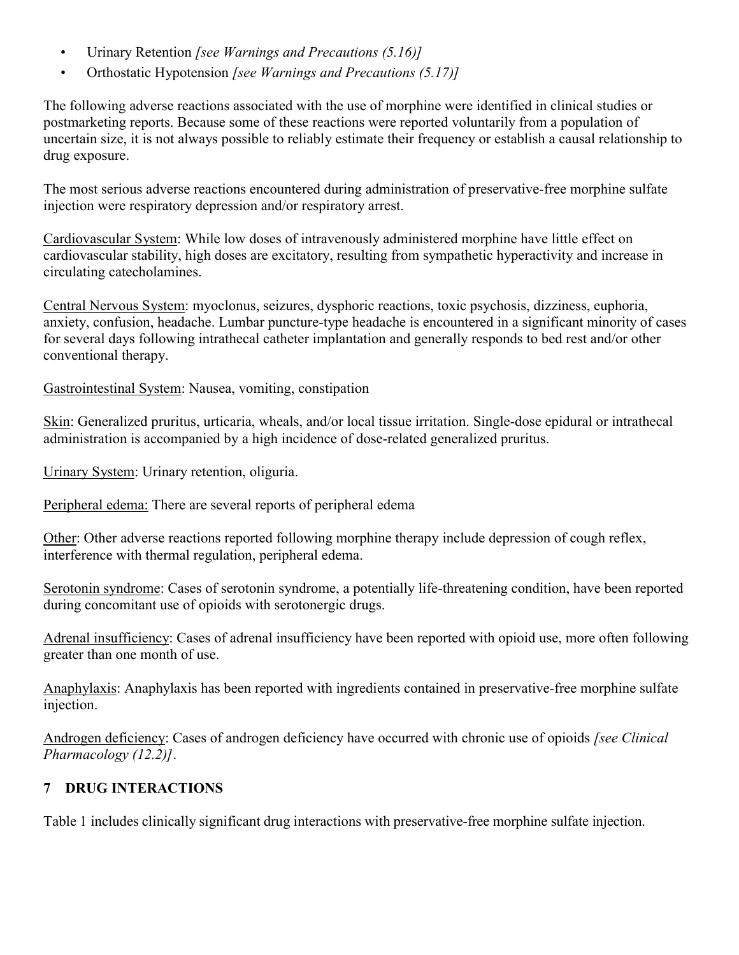- Urinary Retention *[see Warnings and Precautions (5.16)]*
- Orthostatic Hypotension *[see Warnings and Precautions (5.17)]*

The following adverse reactions associated with the use of morphine were identified in clinical studies or postmarketing reports. Because some of these reactions were reported voluntarily from a population of uncertain size, it is not always possible to reliably estimate their frequency or establish a causal relationship to drug exposure.

The most serious adverse reactions encountered during administration of preservative-free morphine sulfate injection were respiratory depression and/or respiratory arrest.

Cardiovascular System: While low doses of intravenously administered morphine have little effect on cardiovascular stability, high doses are excitatory, resulting from sympathetic hyperactivity and increase in circulating catecholamines.

Central Nervous System: myoclonus, seizures, dysphoric reactions, toxic psychosis, dizziness, euphoria, anxiety, confusion, headache. Lumbar puncture-type headache is encountered in a significant minority of cases for several days following intrathecal catheter implantation and generally responds to bed rest and/or other conventional therapy.

Gastrointestinal System: Nausea, vomiting, constipation

Skin: Generalized pruritus, urticaria, wheals, and/or local tissue irritation. Single-dose epidural or intrathecal administration is accompanied by a high incidence of dose-related generalized pruritus.

Urinary System: Urinary retention, oliguria.

Peripheral edema: There are several reports of peripheral edema

Other: Other adverse reactions reported following morphine therapy include depression of cough reflex, interference with thermal regulation, peripheral edema.

Serotonin syndrome: Cases of serotonin syndrome, a potentially life-threatening condition, have been reported during concomitant use of opioids with serotonergic drugs.

Adrenal insufficiency: Cases of adrenal insufficiency have been reported with opioid use, more often following greater than one month of use.

Anaphylaxis: Anaphylaxis has been reported with ingredients contained in preservative-free morphine sulfate injection.

Androgen deficiency: Cases of androgen deficiency have occurred with chronic use of opioids *[see Clinical Pharmacology (12.2)]*.

## **7 DRUG INTERACTIONS**

Table 1 includes clinically significant drug interactions with preservative-free morphine sulfate injection.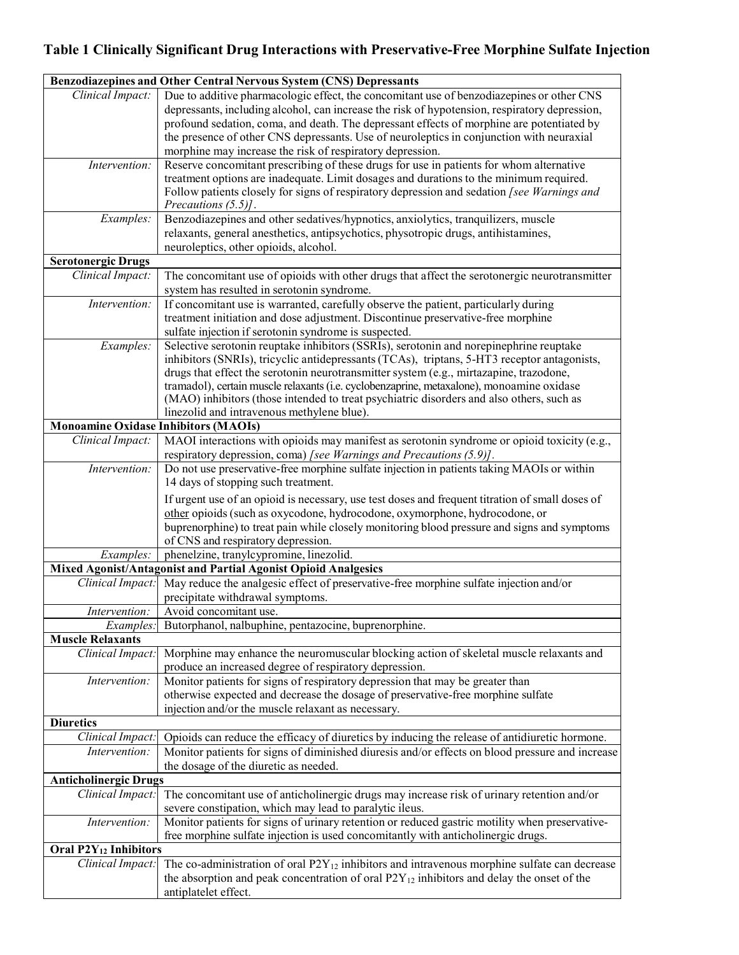# **Table 1 Clinically Significant Drug Interactions with Preservative-Free Morphine Sulfate Injection**

| Benzodiazepines and Other Central Nervous System (CNS) Depressants |                                                                                                                                                                                                                                                                                                                                                                                                                                                                                                                        |  |  |
|--------------------------------------------------------------------|------------------------------------------------------------------------------------------------------------------------------------------------------------------------------------------------------------------------------------------------------------------------------------------------------------------------------------------------------------------------------------------------------------------------------------------------------------------------------------------------------------------------|--|--|
| Clinical Impact:                                                   | Due to additive pharmacologic effect, the concomitant use of benzodiazepines or other CNS<br>depressants, including alcohol, can increase the risk of hypotension, respiratory depression,<br>profound sedation, coma, and death. The depressant effects of morphine are potentiated by                                                                                                                                                                                                                                |  |  |
|                                                                    | the presence of other CNS depressants. Use of neuroleptics in conjunction with neuraxial                                                                                                                                                                                                                                                                                                                                                                                                                               |  |  |
|                                                                    | morphine may increase the risk of respiratory depression.                                                                                                                                                                                                                                                                                                                                                                                                                                                              |  |  |
| Intervention:                                                      | Reserve concomitant prescribing of these drugs for use in patients for whom alternative<br>treatment options are inadequate. Limit dosages and durations to the minimum required.<br>Follow patients closely for signs of respiratory depression and sedation [see Warnings and<br>Precautions $(5.5)$ ].                                                                                                                                                                                                              |  |  |
| Examples:                                                          | Benzodiazepines and other sedatives/hypnotics, anxiolytics, tranquilizers, muscle                                                                                                                                                                                                                                                                                                                                                                                                                                      |  |  |
|                                                                    | relaxants, general anesthetics, antipsychotics, physotropic drugs, antihistamines,<br>neuroleptics, other opioids, alcohol.                                                                                                                                                                                                                                                                                                                                                                                            |  |  |
| <b>Serotonergic Drugs</b>                                          |                                                                                                                                                                                                                                                                                                                                                                                                                                                                                                                        |  |  |
| Clinical Impact:                                                   | The concomitant use of opioids with other drugs that affect the serotonergic neurotransmitter<br>system has resulted in serotonin syndrome.                                                                                                                                                                                                                                                                                                                                                                            |  |  |
| Intervention:                                                      | If concomitant use is warranted, carefully observe the patient, particularly during<br>treatment initiation and dose adjustment. Discontinue preservative-free morphine<br>sulfate injection if serotonin syndrome is suspected.                                                                                                                                                                                                                                                                                       |  |  |
| Examples:                                                          | Selective serotonin reuptake inhibitors (SSRIs), serotonin and norepinephrine reuptake<br>inhibitors (SNRIs), tricyclic antidepressants (TCAs), triptans, 5-HT3 receptor antagonists,<br>drugs that effect the serotonin neurotransmitter system (e.g., mirtazapine, trazodone,<br>tramadol), certain muscle relaxants (i.e. cyclobenzaprine, metaxalone), monoamine oxidase<br>(MAO) inhibitors (those intended to treat psychiatric disorders and also others, such as<br>linezolid and intravenous methylene blue). |  |  |
| <b>Monoamine Oxidase Inhibitors (MAOIs)</b>                        |                                                                                                                                                                                                                                                                                                                                                                                                                                                                                                                        |  |  |
| Clinical Impact:                                                   | MAOI interactions with opioids may manifest as serotonin syndrome or opioid toxicity (e.g.,<br>respiratory depression, coma) [see Warnings and Precautions (5.9)].                                                                                                                                                                                                                                                                                                                                                     |  |  |
| Intervention:                                                      | Do not use preservative-free morphine sulfate injection in patients taking MAOIs or within<br>14 days of stopping such treatment.                                                                                                                                                                                                                                                                                                                                                                                      |  |  |
|                                                                    | If urgent use of an opioid is necessary, use test doses and frequent titration of small doses of<br>other opioids (such as oxycodone, hydrocodone, oxymorphone, hydrocodone, or<br>buprenorphine) to treat pain while closely monitoring blood pressure and signs and symptoms<br>of CNS and respiratory depression.                                                                                                                                                                                                   |  |  |
| Examples:                                                          | phenelzine, tranylcypromine, linezolid.                                                                                                                                                                                                                                                                                                                                                                                                                                                                                |  |  |
|                                                                    | Mixed Agonist/Antagonist and Partial Agonist Opioid Analgesics                                                                                                                                                                                                                                                                                                                                                                                                                                                         |  |  |
| Clinical Impact:                                                   | May reduce the analgesic effect of preservative-free morphine sulfate injection and/or<br>precipitate withdrawal symptoms.                                                                                                                                                                                                                                                                                                                                                                                             |  |  |
| Intervention:                                                      | Avoid concomitant use.                                                                                                                                                                                                                                                                                                                                                                                                                                                                                                 |  |  |
| Examples:                                                          | Butorphanol, nalbuphine, pentazocine, buprenorphine.                                                                                                                                                                                                                                                                                                                                                                                                                                                                   |  |  |
| <b>Muscle Relaxants</b>                                            |                                                                                                                                                                                                                                                                                                                                                                                                                                                                                                                        |  |  |
| Clinical Impact:                                                   | Morphine may enhance the neuromuscular blocking action of skeletal muscle relaxants and<br>produce an increased degree of respiratory depression.                                                                                                                                                                                                                                                                                                                                                                      |  |  |
| Intervention:                                                      | Monitor patients for signs of respiratory depression that may be greater than<br>otherwise expected and decrease the dosage of preservative-free morphine sulfate<br>injection and/or the muscle relaxant as necessary.                                                                                                                                                                                                                                                                                                |  |  |
| <b>Diuretics</b>                                                   |                                                                                                                                                                                                                                                                                                                                                                                                                                                                                                                        |  |  |
| Clinical Impact:                                                   | Opioids can reduce the efficacy of diuretics by inducing the release of antidiuretic hormone.                                                                                                                                                                                                                                                                                                                                                                                                                          |  |  |
| Intervention:                                                      | Monitor patients for signs of diminished diuresis and/or effects on blood pressure and increase<br>the dosage of the diuretic as needed.                                                                                                                                                                                                                                                                                                                                                                               |  |  |
| <b>Anticholinergic Drugs</b>                                       |                                                                                                                                                                                                                                                                                                                                                                                                                                                                                                                        |  |  |
| Clinical Impact:                                                   | The concomitant use of anticholinergic drugs may increase risk of urinary retention and/or<br>severe constipation, which may lead to paralytic ileus.                                                                                                                                                                                                                                                                                                                                                                  |  |  |
| Intervention:                                                      | Monitor patients for signs of urinary retention or reduced gastric motility when preservative-<br>free morphine sulfate injection is used concomitantly with anticholinergic drugs.                                                                                                                                                                                                                                                                                                                                    |  |  |
| <b>Oral P2Y<sub>12</sub></b> Inhibitors                            |                                                                                                                                                                                                                                                                                                                                                                                                                                                                                                                        |  |  |
| Clinical Impact:                                                   | The co-administration of oral $P2Y_{12}$ inhibitors and intravenous morphine sulfate can decrease<br>the absorption and peak concentration of oral $P2Y_{12}$ inhibitors and delay the onset of the<br>antiplatelet effect.                                                                                                                                                                                                                                                                                            |  |  |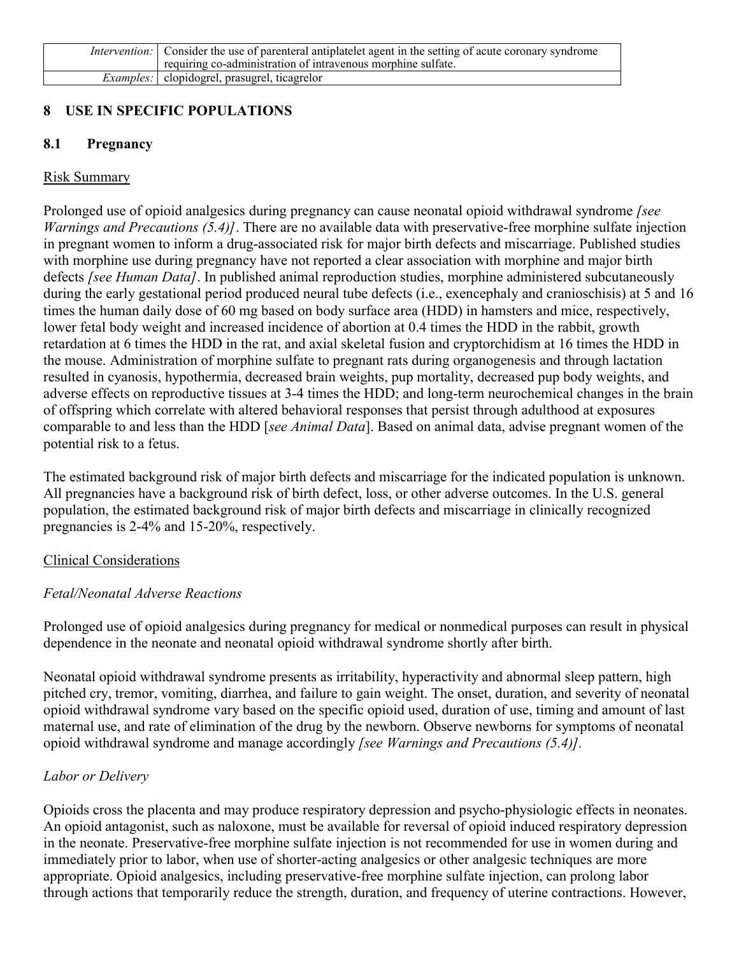| <i>Intervention:</i> Consider the use of parenteral antiplatelet agent in the setting of acute coronary syndrome<br>requiring co-administration of intravenous morphine sulfate. |
|----------------------------------------------------------------------------------------------------------------------------------------------------------------------------------|
| <i>Examples:</i> clopidogrel, prasugrel, ticagrelor                                                                                                                              |

## **8 USE IN SPECIFIC POPULATIONS**

#### **8.1 Pregnancy**

#### Risk Summary

Prolonged use of opioid analgesics during pregnancy can cause neonatal opioid withdrawal syndrome *[see Warnings and Precautions (5.4)]*. There are no available data with preservative-free morphine sulfate injection in pregnant women to inform a drug-associated risk for major birth defects and miscarriage. Published studies with morphine use during pregnancy have not reported a clear association with morphine and major birth defects *[see Human Data]*. In published animal reproduction studies, morphine administered subcutaneously during the early gestational period produced neural tube defects (i.e., exencephaly and cranioschisis) at 5 and 16 times the human daily dose of 60 mg based on body surface area (HDD) in hamsters and mice, respectively, lower fetal body weight and increased incidence of abortion at 0.4 times the HDD in the rabbit, growth retardation at 6 times the HDD in the rat, and axial skeletal fusion and cryptorchidism at 16 times the HDD in the mouse. Administration of morphine sulfate to pregnant rats during organogenesis and through lactation resulted in cyanosis, hypothermia, decreased brain weights, pup mortality, decreased pup body weights, and adverse effects on reproductive tissues at 3-4 times the HDD; and long-term neurochemical changes in the brain of offspring which correlate with altered behavioral responses that persist through adulthood at exposures comparable to and less than the HDD [*see Animal Data*]. Based on animal data, advise pregnant women of the potential risk to a fetus.

The estimated background risk of major birth defects and miscarriage for the indicated population is unknown. All pregnancies have a background risk of birth defect, loss, or other adverse outcomes. In the U.S. general population, the estimated background risk of major birth defects and miscarriage in clinically recognized pregnancies is 2-4% and 15-20%, respectively.

#### Clinical Considerations

#### *Fetal/Neonatal Adverse Reactions*

Prolonged use of opioid analgesics during pregnancy for medical or nonmedical purposes can result in physical dependence in the neonate and neonatal opioid withdrawal syndrome shortly after birth.

Neonatal opioid withdrawal syndrome presents as irritability, hyperactivity and abnormal sleep pattern, high pitched cry, tremor, vomiting, diarrhea, and failure to gain weight. The onset, duration, and severity of neonatal opioid withdrawal syndrome vary based on the specific opioid used, duration of use, timing and amount of last maternal use, and rate of elimination of the drug by the newborn. Observe newborns for symptoms of neonatal opioid withdrawal syndrome and manage accordingly *[see Warnings and Precautions (5.4)].*

#### *Labor or Delivery*

Opioids cross the placenta and may produce respiratory depression and psycho-physiologic effects in neonates. An opioid antagonist, such as naloxone, must be available for reversal of opioid induced respiratory depression in the neonate. Preservative-free morphine sulfate injection is not recommended for use in women during and immediately prior to labor, when use of shorter-acting analgesics or other analgesic techniques are more appropriate. Opioid analgesics, including preservative-free morphine sulfate injection, can prolong labor through actions that temporarily reduce the strength, duration, and frequency of uterine contractions. However,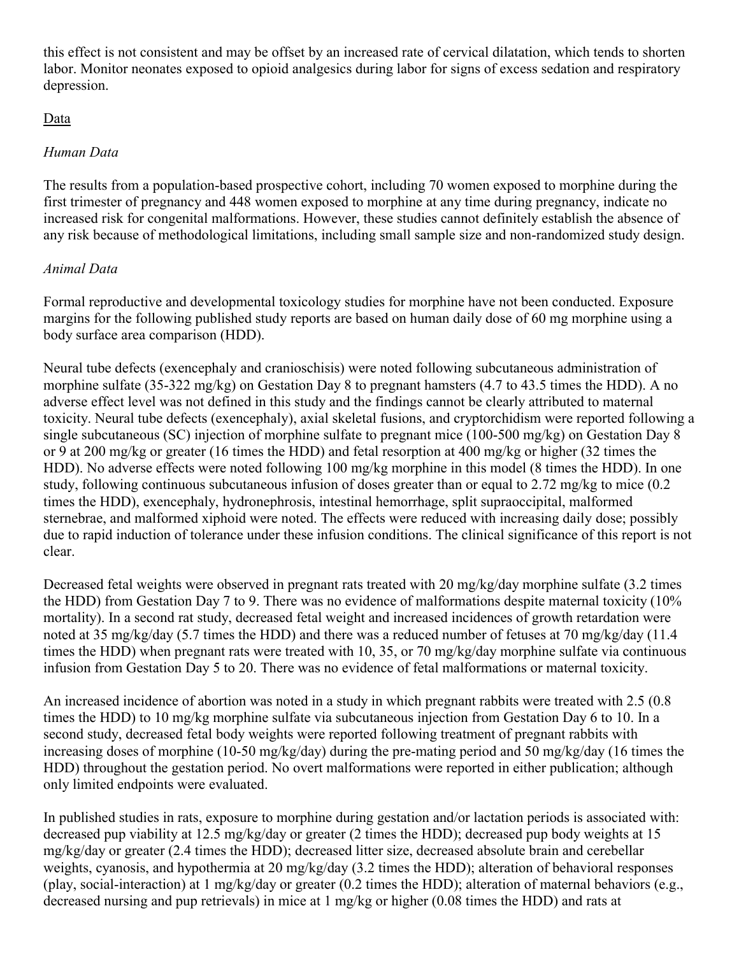this effect is not consistent and may be offset by an increased rate of cervical dilatation, which tends to shorten labor. Monitor neonates exposed to opioid analgesics during labor for signs of excess sedation and respiratory depression.

#### Data

## *Human Data*

The results from a population-based prospective cohort, including 70 women exposed to morphine during the first trimester of pregnancy and 448 women exposed to morphine at any time during pregnancy, indicate no increased risk for congenital malformations. However, these studies cannot definitely establish the absence of any risk because of methodological limitations, including small sample size and non-randomized study design.

## *Animal Data*

Formal reproductive and developmental toxicology studies for morphine have not been conducted. Exposure margins for the following published study reports are based on human daily dose of 60 mg morphine using a body surface area comparison (HDD).

Neural tube defects (exencephaly and cranioschisis) were noted following subcutaneous administration of morphine sulfate (35-322 mg/kg) on Gestation Day 8 to pregnant hamsters (4.7 to 43.5 times the HDD). A no adverse effect level was not defined in this study and the findings cannot be clearly attributed to maternal toxicity. Neural tube defects (exencephaly), axial skeletal fusions, and cryptorchidism were reported following a single subcutaneous (SC) injection of morphine sulfate to pregnant mice (100-500 mg/kg) on Gestation Day 8 or 9 at 200 mg/kg or greater (16 times the HDD) and fetal resorption at 400 mg/kg or higher (32 times the HDD). No adverse effects were noted following 100 mg/kg morphine in this model (8 times the HDD). In one study, following continuous subcutaneous infusion of doses greater than or equal to 2.72 mg/kg to mice (0.2 times the HDD), exencephaly, hydronephrosis, intestinal hemorrhage, split supraoccipital, malformed sternebrae, and malformed xiphoid were noted. The effects were reduced with increasing daily dose; possibly due to rapid induction of tolerance under these infusion conditions. The clinical significance of this report is not clear.

Decreased fetal weights were observed in pregnant rats treated with 20 mg/kg/day morphine sulfate (3.2 times the HDD) from Gestation Day 7 to 9. There was no evidence of malformations despite maternal toxicity (10% mortality). In a second rat study, decreased fetal weight and increased incidences of growth retardation were noted at 35 mg/kg/day (5.7 times the HDD) and there was a reduced number of fetuses at 70 mg/kg/day (11.4 times the HDD) when pregnant rats were treated with 10, 35, or 70 mg/kg/day morphine sulfate via continuous infusion from Gestation Day 5 to 20. There was no evidence of fetal malformations or maternal toxicity.

An increased incidence of abortion was noted in a study in which pregnant rabbits were treated with 2.5 (0.8 times the HDD) to 10 mg/kg morphine sulfate via subcutaneous injection from Gestation Day 6 to 10. In a second study, decreased fetal body weights were reported following treatment of pregnant rabbits with increasing doses of morphine (10-50 mg/kg/day) during the pre-mating period and 50 mg/kg/day (16 times the HDD) throughout the gestation period. No overt malformations were reported in either publication; although only limited endpoints were evaluated.

In published studies in rats, exposure to morphine during gestation and/or lactation periods is associated with: decreased pup viability at 12.5 mg/kg/day or greater (2 times the HDD); decreased pup body weights at 15 mg/kg/day or greater (2.4 times the HDD); decreased litter size, decreased absolute brain and cerebellar weights, cyanosis, and hypothermia at 20 mg/kg/day (3.2 times the HDD); alteration of behavioral responses (play, social-interaction) at 1 mg/kg/day or greater (0.2 times the HDD); alteration of maternal behaviors (e.g., decreased nursing and pup retrievals) in mice at 1 mg/kg or higher (0.08 times the HDD) and rats at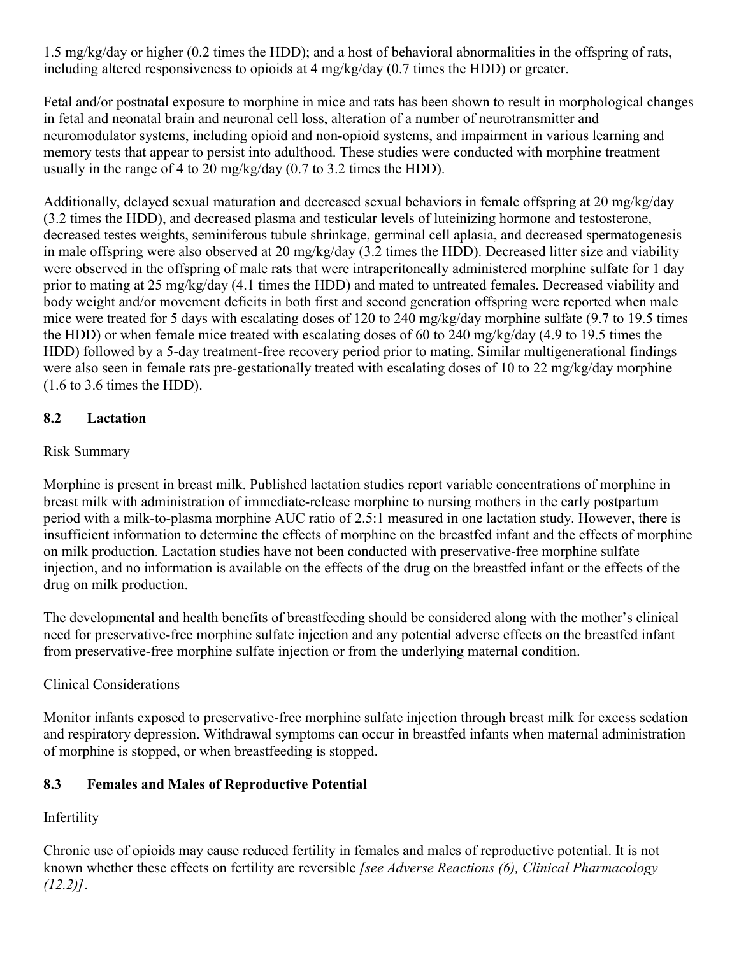1.5 mg/kg/day or higher (0.2 times the HDD); and a host of behavioral abnormalities in the offspring of rats, including altered responsiveness to opioids at 4 mg/kg/day (0.7 times the HDD) or greater.

Fetal and/or postnatal exposure to morphine in mice and rats has been shown to result in morphological changes in fetal and neonatal brain and neuronal cell loss, alteration of a number of neurotransmitter and neuromodulator systems, including opioid and non-opioid systems, and impairment in various learning and memory tests that appear to persist into adulthood. These studies were conducted with morphine treatment usually in the range of 4 to 20 mg/kg/day  $(0.7 \text{ to } 3.2 \text{ times the HDD})$ .

Additionally, delayed sexual maturation and decreased sexual behaviors in female offspring at 20 mg/kg/day (3.2 times the HDD), and decreased plasma and testicular levels of luteinizing hormone and testosterone, decreased testes weights, seminiferous tubule shrinkage, germinal cell aplasia, and decreased spermatogenesis in male offspring were also observed at 20 mg/kg/day (3.2 times the HDD). Decreased litter size and viability were observed in the offspring of male rats that were intraperitoneally administered morphine sulfate for 1 day prior to mating at 25 mg/kg/day (4.1 times the HDD) and mated to untreated females. Decreased viability and body weight and/or movement deficits in both first and second generation offspring were reported when male mice were treated for 5 days with escalating doses of 120 to 240 mg/kg/day morphine sulfate (9.7 to 19.5 times the HDD) or when female mice treated with escalating doses of 60 to 240 mg/kg/day (4.9 to 19.5 times the HDD) followed by a 5-day treatment-free recovery period prior to mating. Similar multigenerational findings were also seen in female rats pre-gestationally treated with escalating doses of 10 to 22 mg/kg/day morphine (1.6 to 3.6 times the HDD).

## **8.2 Lactation**

## Risk Summary

Morphine is present in breast milk. Published lactation studies report variable concentrations of morphine in breast milk with administration of immediate-release morphine to nursing mothers in the early postpartum period with a milk-to-plasma morphine AUC ratio of 2.5:1 measured in one lactation study. However, there is insufficient information to determine the effects of morphine on the breastfed infant and the effects of morphine on milk production. Lactation studies have not been conducted with preservative-free morphine sulfate injection, and no information is available on the effects of the drug on the breastfed infant or the effects of the drug on milk production.

The developmental and health benefits of breastfeeding should be considered along with the mother's clinical need for preservative-free morphine sulfate injection and any potential adverse effects on the breastfed infant from preservative-free morphine sulfate injection or from the underlying maternal condition.

# Clinical Considerations

Monitor infants exposed to preservative-free morphine sulfate injection through breast milk for excess sedation and respiratory depression. Withdrawal symptoms can occur in breastfed infants when maternal administration of morphine is stopped, or when breastfeeding is stopped.

# **8.3 Females and Males of Reproductive Potential**

# Infertility

Chronic use of opioids may cause reduced fertility in females and males of reproductive potential. It is not known whether these effects on fertility are reversible *[see Adverse Reactions (6), Clinical Pharmacology (12.2)]*.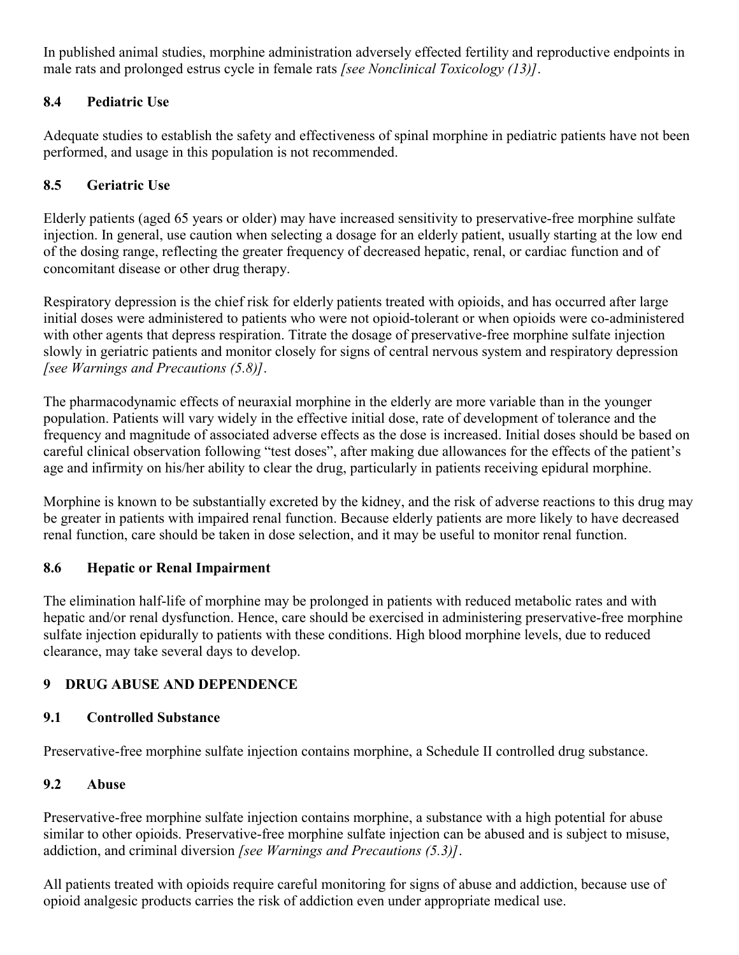In published animal studies, morphine administration adversely effected fertility and reproductive endpoints in male rats and prolonged estrus cycle in female rats *[see Nonclinical Toxicology (13)]*.

## **8.4 Pediatric Use**

Adequate studies to establish the safety and effectiveness of spinal morphine in pediatric patients have not been performed, and usage in this population is not recommended.

## **8.5 Geriatric Use**

Elderly patients (aged 65 years or older) may have increased sensitivity to preservative-free morphine sulfate injection. In general, use caution when selecting a dosage for an elderly patient, usually starting at the low end of the dosing range, reflecting the greater frequency of decreased hepatic, renal, or cardiac function and of concomitant disease or other drug therapy.

Respiratory depression is the chief risk for elderly patients treated with opioids, and has occurred after large initial doses were administered to patients who were not opioid-tolerant or when opioids were co-administered with other agents that depress respiration. Titrate the dosage of preservative-free morphine sulfate injection slowly in geriatric patients and monitor closely for signs of central nervous system and respiratory depression *[see Warnings and Precautions (5.8)]*.

The pharmacodynamic effects of neuraxial morphine in the elderly are more variable than in the younger population. Patients will vary widely in the effective initial dose, rate of development of tolerance and the frequency and magnitude of associated adverse effects as the dose is increased. Initial doses should be based on careful clinical observation following "test doses", after making due allowances for the effects of the patient's age and infirmity on his/her ability to clear the drug, particularly in patients receiving epidural morphine.

Morphine is known to be substantially excreted by the kidney, and the risk of adverse reactions to this drug may be greater in patients with impaired renal function. Because elderly patients are more likely to have decreased renal function, care should be taken in dose selection, and it may be useful to monitor renal function.

## **8.6 Hepatic or Renal Impairment**

The elimination half-life of morphine may be prolonged in patients with reduced metabolic rates and with hepatic and/or renal dysfunction. Hence, care should be exercised in administering preservative-free morphine sulfate injection epidurally to patients with these conditions. High blood morphine levels, due to reduced clearance, may take several days to develop.

# **9 DRUG ABUSE AND DEPENDENCE**

## **9.1 Controlled Substance**

Preservative-free morphine sulfate injection contains morphine, a Schedule II controlled drug substance.

## **9.2 Abuse**

Preservative-free morphine sulfate injection contains morphine, a substance with a high potential for abuse similar to other opioids. Preservative-free morphine sulfate injection can be abused and is subject to misuse, addiction, and criminal diversion *[see Warnings and Precautions (5.3)]*.

All patients treated with opioids require careful monitoring for signs of abuse and addiction, because use of opioid analgesic products carries the risk of addiction even under appropriate medical use.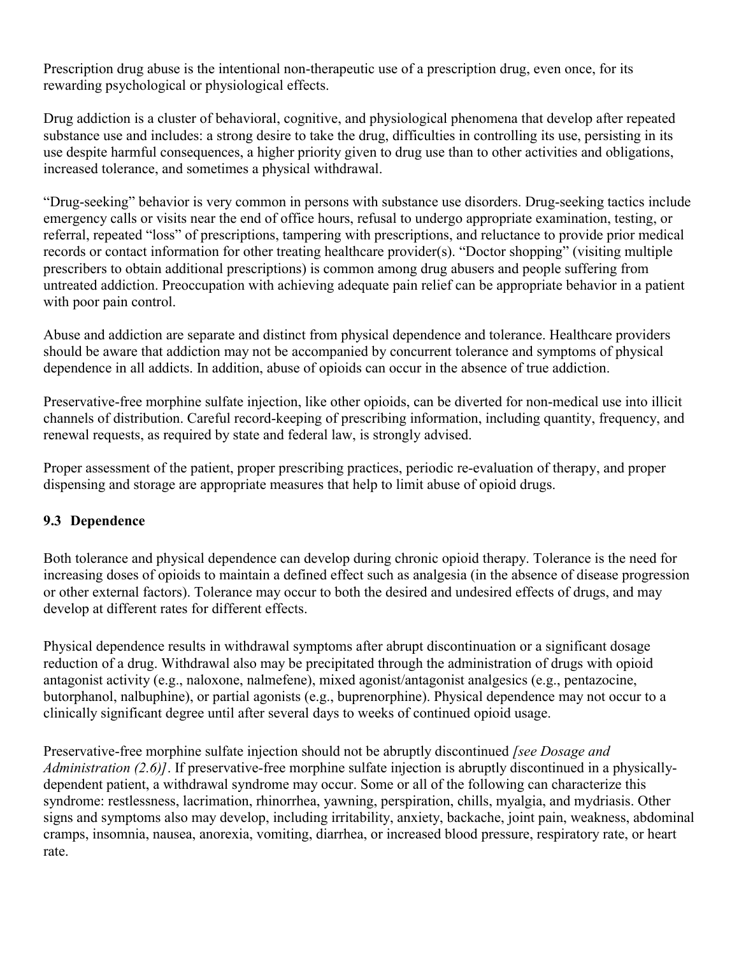Prescription drug abuse is the intentional non-therapeutic use of a prescription drug, even once, for its rewarding psychological or physiological effects.

Drug addiction is a cluster of behavioral, cognitive, and physiological phenomena that develop after repeated substance use and includes: a strong desire to take the drug, difficulties in controlling its use, persisting in its use despite harmful consequences, a higher priority given to drug use than to other activities and obligations, increased tolerance, and sometimes a physical withdrawal.

"Drug-seeking" behavior is very common in persons with substance use disorders. Drug-seeking tactics include emergency calls or visits near the end of office hours, refusal to undergo appropriate examination, testing, or referral, repeated "loss" of prescriptions, tampering with prescriptions, and reluctance to provide prior medical records or contact information for other treating healthcare provider(s). "Doctor shopping" (visiting multiple prescribers to obtain additional prescriptions) is common among drug abusers and people suffering from untreated addiction. Preoccupation with achieving adequate pain relief can be appropriate behavior in a patient with poor pain control.

Abuse and addiction are separate and distinct from physical dependence and tolerance. Healthcare providers should be aware that addiction may not be accompanied by concurrent tolerance and symptoms of physical dependence in all addicts. In addition, abuse of opioids can occur in the absence of true addiction.

Preservative-free morphine sulfate injection, like other opioids, can be diverted for non-medical use into illicit channels of distribution. Careful record-keeping of prescribing information, including quantity, frequency, and renewal requests, as required by state and federal law, is strongly advised.

Proper assessment of the patient, proper prescribing practices, periodic re-evaluation of therapy, and proper dispensing and storage are appropriate measures that help to limit abuse of opioid drugs.

## **9.3 Dependence**

Both tolerance and physical dependence can develop during chronic opioid therapy. Tolerance is the need for increasing doses of opioids to maintain a defined effect such as analgesia (in the absence of disease progression or other external factors). Tolerance may occur to both the desired and undesired effects of drugs, and may develop at different rates for different effects.

Physical dependence results in withdrawal symptoms after abrupt discontinuation or a significant dosage reduction of a drug. Withdrawal also may be precipitated through the administration of drugs with opioid antagonist activity (e.g., naloxone, nalmefene), mixed agonist/antagonist analgesics (e.g., pentazocine, butorphanol, nalbuphine), or partial agonists (e.g., buprenorphine). Physical dependence may not occur to a clinically significant degree until after several days to weeks of continued opioid usage.

Preservative-free morphine sulfate injection should not be abruptly discontinued *[see Dosage and Administration (2.6)]*. If preservative-free morphine sulfate injection is abruptly discontinued in a physicallydependent patient, a withdrawal syndrome may occur. Some or all of the following can characterize this syndrome: restlessness, lacrimation, rhinorrhea, yawning, perspiration, chills, myalgia, and mydriasis. Other signs and symptoms also may develop, including irritability, anxiety, backache, joint pain, weakness, abdominal cramps, insomnia, nausea, anorexia, vomiting, diarrhea, or increased blood pressure, respiratory rate, or heart rate.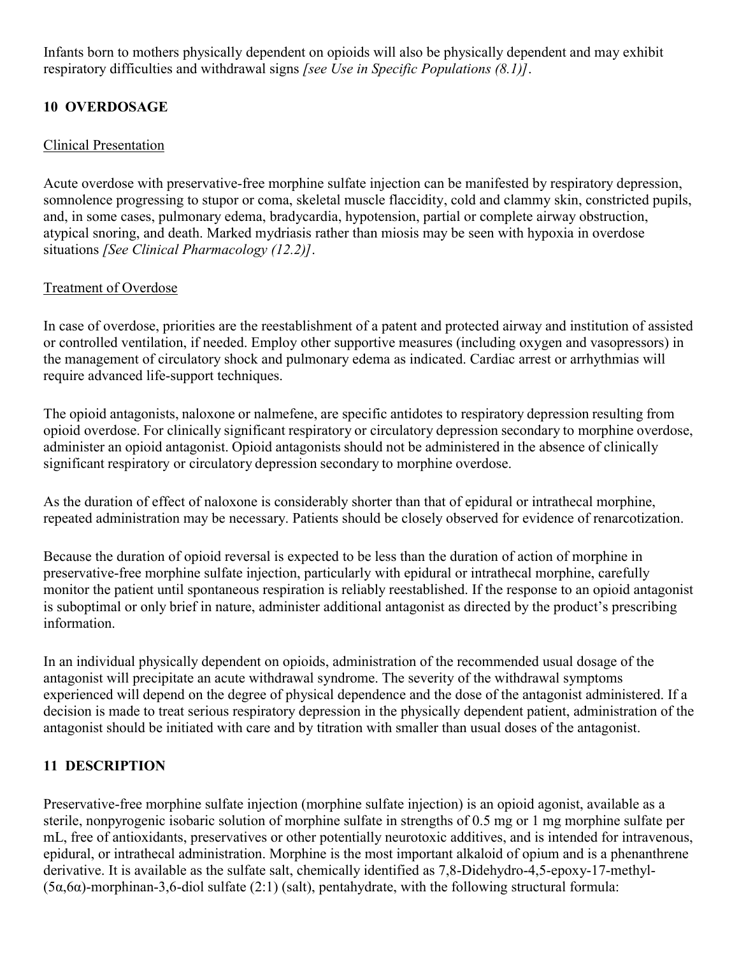Infants born to mothers physically dependent on opioids will also be physically dependent and may exhibit respiratory difficulties and withdrawal signs *[see Use in Specific Populations (8.1)]*.

## **10 OVERDOSAGE**

## Clinical Presentation

Acute overdose with preservative-free morphine sulfate injection can be manifested by respiratory depression, somnolence progressing to stupor or coma, skeletal muscle flaccidity, cold and clammy skin, constricted pupils, and, in some cases, pulmonary edema, bradycardia, hypotension, partial or complete airway obstruction, atypical snoring, and death. Marked mydriasis rather than miosis may be seen with hypoxia in overdose situations *[See Clinical Pharmacology (12.2)]*.

## Treatment of Overdose

In case of overdose, priorities are the reestablishment of a patent and protected airway and institution of assisted or controlled ventilation, if needed. Employ other supportive measures (including oxygen and vasopressors) in the management of circulatory shock and pulmonary edema as indicated. Cardiac arrest or arrhythmias will require advanced life-support techniques.

The opioid antagonists, naloxone or nalmefene, are specific antidotes to respiratory depression resulting from opioid overdose. For clinically significant respiratory or circulatory depression secondary to morphine overdose, administer an opioid antagonist. Opioid antagonists should not be administered in the absence of clinically significant respiratory or circulatory depression secondary to morphine overdose.

As the duration of effect of naloxone is considerably shorter than that of epidural or intrathecal morphine, repeated administration may be necessary. Patients should be closely observed for evidence of renarcotization.

Because the duration of opioid reversal is expected to be less than the duration of action of morphine in preservative-free morphine sulfate injection, particularly with epidural or intrathecal morphine, carefully monitor the patient until spontaneous respiration is reliably reestablished. If the response to an opioid antagonist is suboptimal or only brief in nature, administer additional antagonist as directed by the product's prescribing information.

In an individual physically dependent on opioids, administration of the recommended usual dosage of the antagonist will precipitate an acute withdrawal syndrome. The severity of the withdrawal symptoms experienced will depend on the degree of physical dependence and the dose of the antagonist administered. If a decision is made to treat serious respiratory depression in the physically dependent patient, administration of the antagonist should be initiated with care and by titration with smaller than usual doses of the antagonist.

# **11 DESCRIPTION**

Preservative-free morphine sulfate injection (morphine sulfate injection) is an opioid agonist, available as a sterile, nonpyrogenic isobaric solution of morphine sulfate in strengths of 0.5 mg or 1 mg morphine sulfate per mL, free of antioxidants, preservatives or other potentially neurotoxic additives, and is intended for intravenous, epidural, or intrathecal administration. Morphine is the most important alkaloid of opium and is a phenanthrene derivative. It is available as the sulfate salt, chemically identified as 7,8-Didehydro-4,5-epoxy-17-methyl- (5α,6α)-morphinan-3,6-diol sulfate (2:1) (salt), pentahydrate, with the following structural formula: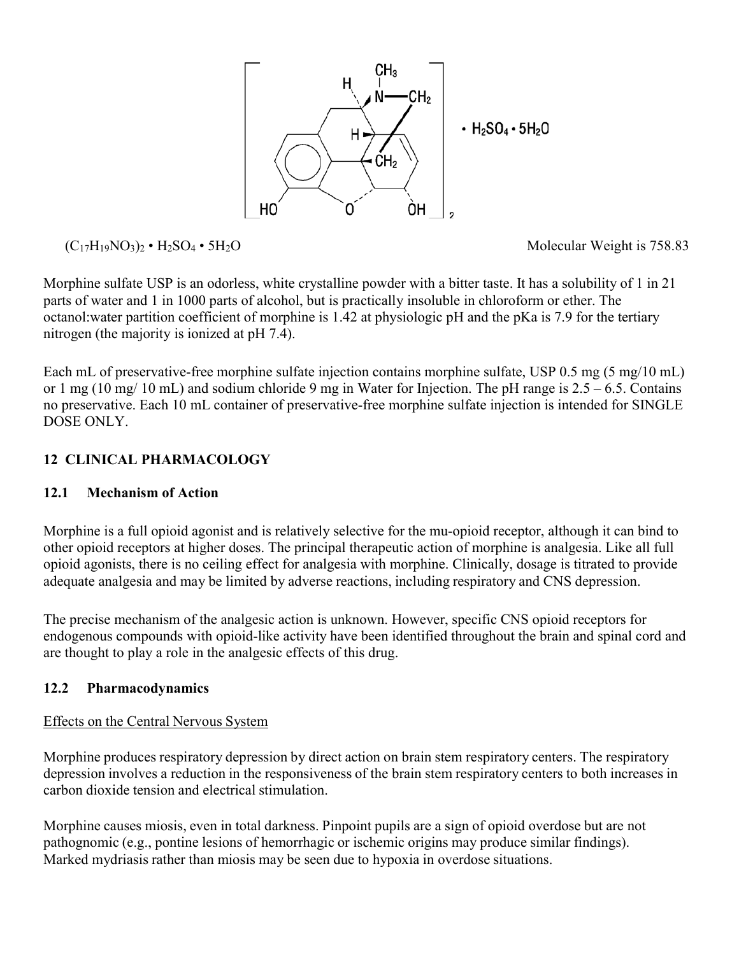

 $(C_{17}H_{19}NO_3)_2 \cdot H_2SO_4 \cdot 5H_2O$  Molecular Weight is 758.83

Morphine sulfate USP is an odorless, white crystalline powder with a bitter taste. It has a solubility of 1 in 21 parts of water and 1 in 1000 parts of alcohol, but is practically insoluble in chloroform or ether. The octanol:water partition coefficient of morphine is 1.42 at physiologic pH and the pKa is 7.9 for the tertiary nitrogen (the majority is ionized at pH 7.4).

Each mL of preservative-free morphine sulfate injection contains morphine sulfate, USP 0.5 mg (5 mg/10 mL) or 1 mg (10 mg/ 10 mL) and sodium chloride 9 mg in Water for Injection. The pH range is 2.5 – 6.5. Contains no preservative. Each 10 mL container of preservative-free morphine sulfate injection is intended for SINGLE DOSE ONLY.

## **12 CLINICAL PHARMACOLOGY**

#### **12.1 Mechanism of Action**

Morphine is a full opioid agonist and is relatively selective for the mu-opioid receptor, although it can bind to other opioid receptors at higher doses. The principal therapeutic action of morphine is analgesia. Like all full opioid agonists, there is no ceiling effect for analgesia with morphine. Clinically, dosage is titrated to provide adequate analgesia and may be limited by adverse reactions, including respiratory and CNS depression.

The precise mechanism of the analgesic action is unknown. However, specific CNS opioid receptors for endogenous compounds with opioid-like activity have been identified throughout the brain and spinal cord and are thought to play a role in the analgesic effects of this drug.

#### **12.2 Pharmacodynamics**

#### Effects on the Central Nervous System

Morphine produces respiratory depression by direct action on brain stem respiratory centers. The respiratory depression involves a reduction in the responsiveness of the brain stem respiratory centers to both increases in carbon dioxide tension and electrical stimulation.

Morphine causes miosis, even in total darkness. Pinpoint pupils are a sign of opioid overdose but are not pathognomic (e.g., pontine lesions of hemorrhagic or ischemic origins may produce similar findings). Marked mydriasis rather than miosis may be seen due to hypoxia in overdose situations.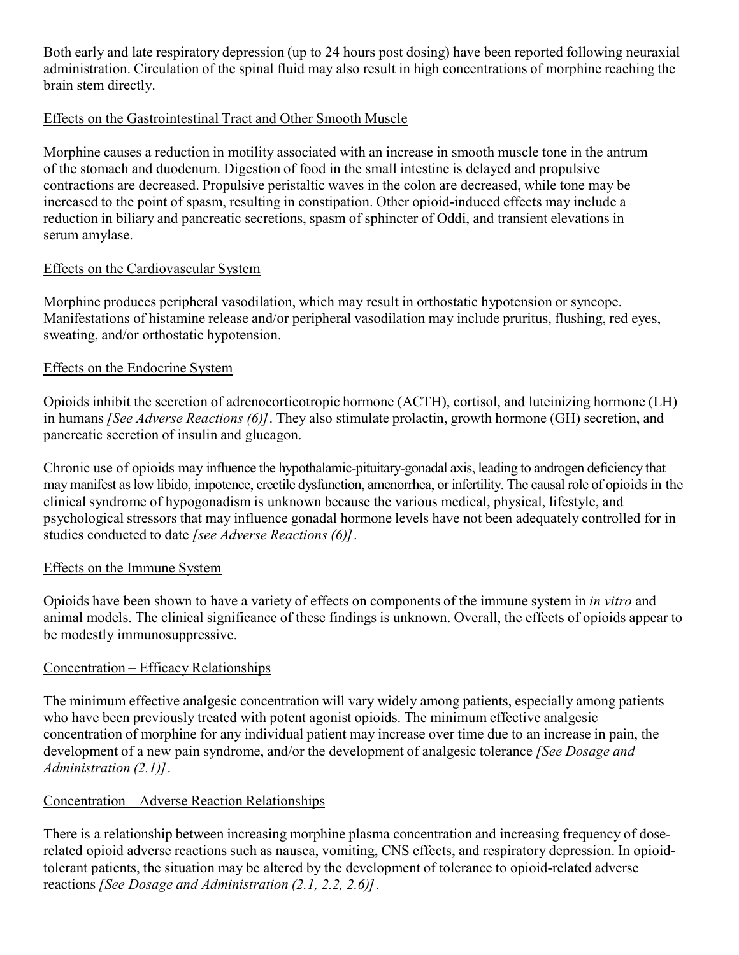Both early and late respiratory depression (up to 24 hours post dosing) have been reported following neuraxial administration. Circulation of the spinal fluid may also result in high concentrations of morphine reaching the brain stem directly.

## Effects on the Gastrointestinal Tract and Other Smooth Muscle

Morphine causes a reduction in motility associated with an increase in smooth muscle tone in the antrum of the stomach and duodenum. Digestion of food in the small intestine is delayed and propulsive contractions are decreased. Propulsive peristaltic waves in the colon are decreased, while tone may be increased to the point of spasm, resulting in constipation. Other opioid-induced effects may include a reduction in biliary and pancreatic secretions, spasm of sphincter of Oddi, and transient elevations in serum amylase.

## Effects on the Cardiovascular System

Morphine produces peripheral vasodilation, which may result in orthostatic hypotension or syncope. Manifestations of histamine release and/or peripheral vasodilation may include pruritus, flushing, red eyes, sweating, and/or orthostatic hypotension.

## Effects on the Endocrine System

Opioids inhibit the secretion of adrenocorticotropic hormone (ACTH), cortisol, and luteinizing hormone (LH) in humans *[See Adverse Reactions (6)]*. They also stimulate prolactin, growth hormone (GH) secretion, and pancreatic secretion of insulin and glucagon.

Chronic use of opioids may influence the hypothalamic-pituitary-gonadal axis, leading to androgen deficiency that may manifest as low libido, impotence, erectile dysfunction, amenorrhea, or infertility. The causal role of opioids in the clinical syndrome of hypogonadism is unknown because the various medical, physical, lifestyle, and psychological stressors that may influence gonadal hormone levels have not been adequately controlled for in studies conducted to date *[see Adverse Reactions (6)]*.

#### Effects on the Immune System

Opioids have been shown to have a variety of effects on components of the immune system in *in vitro* and animal models. The clinical significance of these findings is unknown. Overall, the effects of opioids appear to be modestly immunosuppressive.

#### Concentration – Efficacy Relationships

The minimum effective analgesic concentration will vary widely among patients, especially among patients who have been previously treated with potent agonist opioids. The minimum effective analgesic concentration of morphine for any individual patient may increase over time due to an increase in pain, the development of a new pain syndrome, and/or the development of analgesic tolerance *[See Dosage and Administration (2.1)]*.

#### Concentration – Adverse Reaction Relationships

There is a relationship between increasing morphine plasma concentration and increasing frequency of doserelated opioid adverse reactions such as nausea, vomiting, CNS effects, and respiratory depression. In opioidtolerant patients, the situation may be altered by the development of tolerance to opioid-related adverse reactions *[See Dosage and Administration (2.1, 2.2, 2.6)]*.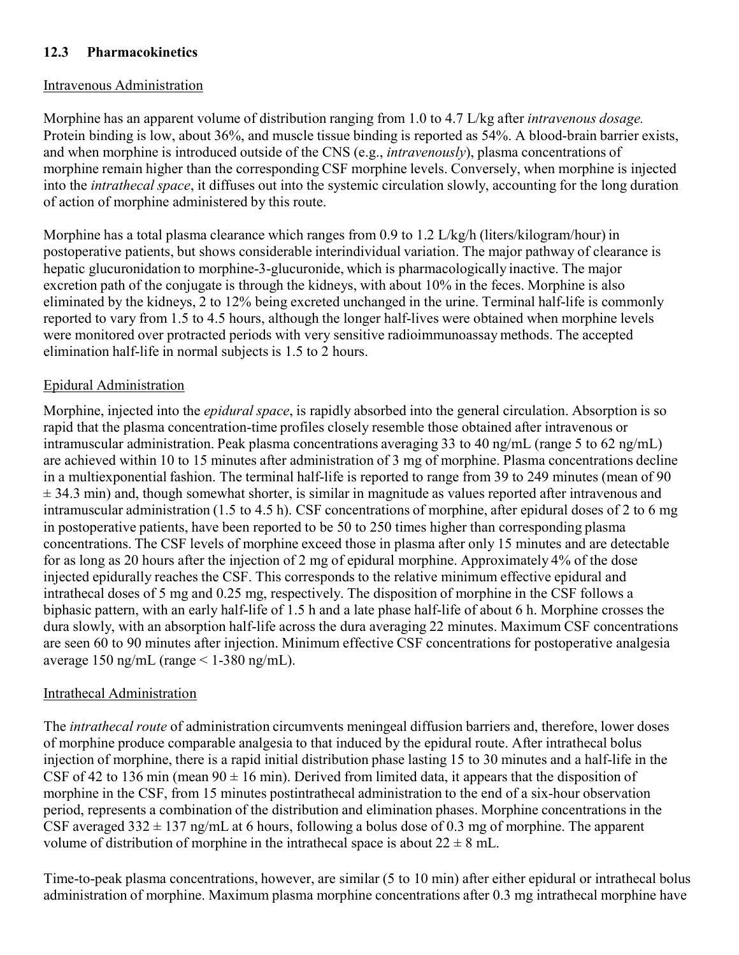## **12.3 Pharmacokinetics**

#### Intravenous Administration

Morphine has an apparent volume of distribution ranging from 1.0 to 4.7 L/kg after *intravenous dosage.* Protein binding is low, about 36%, and muscle tissue binding is reported as 54%. A blood-brain barrier exists, and when morphine is introduced outside of the CNS (e.g., *intravenously*), plasma concentrations of morphine remain higher than the corresponding CSF morphine levels. Conversely, when morphine is injected into the *intrathecal space*, it diffuses out into the systemic circulation slowly, accounting for the long duration of action of morphine administered by this route.

Morphine has a total plasma clearance which ranges from 0.9 to 1.2 L/kg/h (liters/kilogram/hour) in postoperative patients, but shows considerable interindividual variation. The major pathway of clearance is hepatic glucuronidation to morphine-3-glucuronide, which is pharmacologically inactive. The major excretion path of the conjugate is through the kidneys, with about 10% in the feces. Morphine is also eliminated by the kidneys, 2 to 12% being excreted unchanged in the urine. Terminal half-life is commonly reported to vary from 1.5 to 4.5 hours, although the longer half-lives were obtained when morphine levels were monitored over protracted periods with very sensitive radioimmunoassay methods. The accepted elimination half-life in normal subjects is 1.5 to 2 hours.

#### Epidural Administration

Morphine, injected into the *epidural space*, is rapidly absorbed into the general circulation. Absorption is so rapid that the plasma concentration-time profiles closely resemble those obtained after intravenous or intramuscular administration. Peak plasma concentrations averaging 33 to 40 ng/mL (range 5 to 62 ng/mL) are achieved within 10 to 15 minutes after administration of 3 mg of morphine. Plasma concentrations decline in a multiexponential fashion. The terminal half-life is reported to range from 39 to 249 minutes (mean of 90  $\pm$  34.3 min) and, though somewhat shorter, is similar in magnitude as values reported after intravenous and intramuscular administration (1.5 to 4.5 h). CSF concentrations of morphine, after epidural doses of 2 to 6 mg in postoperative patients, have been reported to be 50 to 250 times higher than corresponding plasma concentrations. The CSF levels of morphine exceed those in plasma after only 15 minutes and are detectable for as long as 20 hours after the injection of 2 mg of epidural morphine. Approximately 4% of the dose injected epidurally reaches the CSF. This corresponds to the relative minimum effective epidural and intrathecal doses of 5 mg and 0.25 mg, respectively. The disposition of morphine in the CSF follows a biphasic pattern, with an early half-life of 1.5 h and a late phase half-life of about 6 h. Morphine crosses the dura slowly, with an absorption half-life across the dura averaging 22 minutes. Maximum CSF concentrations are seen 60 to 90 minutes after injection. Minimum effective CSF concentrations for postoperative analgesia average  $150$  ng/mL (range  $\leq 1$ -380 ng/mL).

#### Intrathecal Administration

The *intrathecal route* of administration circumvents meningeal diffusion barriers and, therefore, lower doses of morphine produce comparable analgesia to that induced by the epidural route. After intrathecal bolus injection of morphine, there is a rapid initial distribution phase lasting 15 to 30 minutes and a half-life in the CSF of 42 to 136 min (mean  $90 \pm 16$  min). Derived from limited data, it appears that the disposition of morphine in the CSF, from 15 minutes postintrathecal administration to the end of a six-hour observation period, represents a combination of the distribution and elimination phases. Morphine concentrations in the CSF averaged  $332 \pm 137$  ng/mL at 6 hours, following a bolus dose of 0.3 mg of morphine. The apparent volume of distribution of morphine in the intrathecal space is about  $22 \pm 8$  mL.

Time-to-peak plasma concentrations, however, are similar (5 to 10 min) after either epidural or intrathecal bolus administration of morphine. Maximum plasma morphine concentrations after 0.3 mg intrathecal morphine have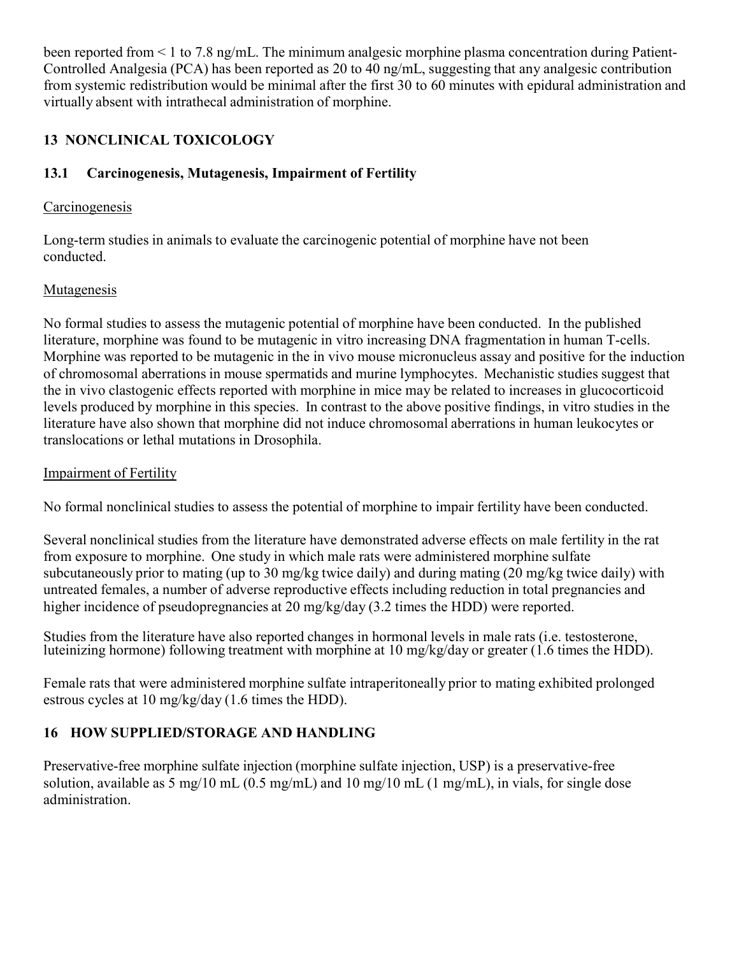been reported from < 1 to 7.8 ng/mL. The minimum analgesic morphine plasma concentration during Patient-Controlled Analgesia (PCA) has been reported as 20 to 40 ng/mL, suggesting that any analgesic contribution from systemic redistribution would be minimal after the first 30 to 60 minutes with epidural administration and virtually absent with intrathecal administration of morphine.

# **13 NONCLINICAL TOXICOLOGY**

## **13.1 Carcinogenesis, Mutagenesis, Impairment of Fertility**

## Carcinogenesis

Long-term studies in animals to evaluate the carcinogenic potential of morphine have not been conducted.

## Mutagenesis

No formal studies to assess the mutagenic potential of morphine have been conducted. In the published literature, morphine was found to be mutagenic in vitro increasing DNA fragmentation in human T-cells. Morphine was reported to be mutagenic in the in vivo mouse micronucleus assay and positive for the induction of chromosomal aberrations in mouse spermatids and murine lymphocytes. Mechanistic studies suggest that the in vivo clastogenic effects reported with morphine in mice may be related to increases in glucocorticoid levels produced by morphine in this species. In contrast to the above positive findings, in vitro studies in the literature have also shown that morphine did not induce chromosomal aberrations in human leukocytes or translocations or lethal mutations in Drosophila.

## Impairment of Fertility

No formal nonclinical studies to assess the potential of morphine to impair fertility have been conducted.

Several nonclinical studies from the literature have demonstrated adverse effects on male fertility in the rat from exposure to morphine. One study in which male rats were administered morphine sulfate subcutaneously prior to mating (up to 30 mg/kg twice daily) and during mating (20 mg/kg twice daily) with untreated females, a number of adverse reproductive effects including reduction in total pregnancies and higher incidence of pseudopregnancies at 20 mg/kg/day (3.2 times the HDD) were reported.

Studies from the literature have also reported changes in hormonal levels in male rats (i.e. testosterone, luteinizing hormone) following treatment with morphine at 10 mg/kg/day or greater (1.6 times the HDD).

Female rats that were administered morphine sulfate intraperitoneally prior to mating exhibited prolonged estrous cycles at 10 mg/kg/day (1.6 times the HDD).

# **16 HOW SUPPLIED/STORAGE AND HANDLING**

Preservative-free morphine sulfate injection (morphine sulfate injection, USP) is a preservative-free solution, available as 5 mg/10 mL (0.5 mg/mL) and 10 mg/10 mL (1 mg/mL), in vials, for single dose administration.